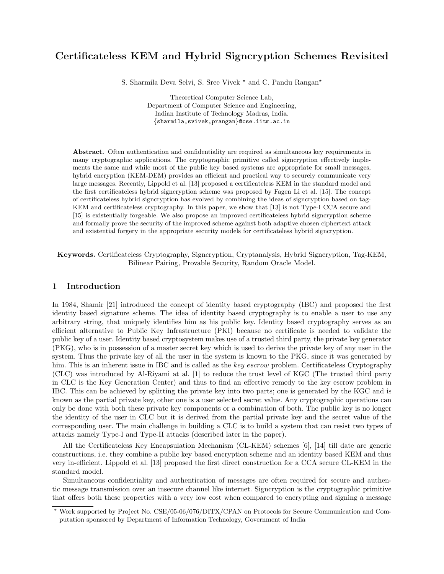# Certificateless KEM and Hybrid Signcryption Schemes Revisited

S. Sharmila Deva Selvi, S. Sree Vivek  $*$  and C. Pandu Rangan $*$ 

Theoretical Computer Science Lab, Department of Computer Science and Engineering, Indian Institute of Technology Madras, India. {sharmila,svivek,prangan}@cse.iitm.ac.in

Abstract. Often authentication and confidentiality are required as simultaneous key requirements in many cryptographic applications. The cryptographic primitive called signcryption effectively implements the same and while most of the public key based systems are appropriate for small messages, hybrid encryption (KEM-DEM) provides an efficient and practical way to securely communicate very large messages. Recently, Lippold et al. [13] proposed a certificateless KEM in the standard model and the first certificateless hybrid signcryption scheme was proposed by Fagen Li et al. [15]. The concept of certificateless hybrid signcryption has evolved by combining the ideas of signcryption based on tag-KEM and certificateless cryptography. In this paper, we show that [13] is not Type-I CCA secure and [15] is existentially forgeable. We also propose an improved certificateless hybrid signcryption scheme and formally prove the security of the improved scheme against both adaptive chosen ciphertext attack and existential forgery in the appropriate security models for certificateless hybrid signcryption.

Keywords. Certificateless Cryptography, Signcryption, Cryptanalysis, Hybrid Signcryption, Tag-KEM, Bilinear Pairing, Provable Security, Random Oracle Model.

## 1 Introduction

In 1984, Shamir [21] introduced the concept of identity based cryptography (IBC) and proposed the first identity based signature scheme. The idea of identity based cryptography is to enable a user to use any arbitrary string, that uniquely identifies him as his public key. Identity based cryptography serves as an efficient alternative to Public Key Infrastructure (PKI) because no certificate is needed to validate the public key of a user. Identity based cryptosystem makes use of a trusted third party, the private key generator (PKG), who is in possession of a master secret key which is used to derive the private key of any user in the system. Thus the private key of all the user in the system is known to the PKG, since it was generated by him. This is an inherent issue in IBC and is called as the key escrow problem. Certificateless Cryptography (CLC) was introduced by Al-Riyami at al. [1] to reduce the trust level of KGC (The trusted third party in CLC is the Key Generation Center) and thus to find an effective remedy to the key escrow problem in IBC. This can be achieved by splitting the private key into two parts; one is generated by the KGC and is known as the partial private key, other one is a user selected secret value. Any cryptographic operations can only be done with both these private key components or a combination of both. The public key is no longer the identity of the user in CLC but it is derived from the partial private key and the secret value of the corresponding user. The main challenge in building a CLC is to build a system that can resist two types of attacks namely Type-I and Type-II attacks (described later in the paper).

All the Certificateless Key Encapsulation Mechanism (CL-KEM) schemes [6], [14] till date are generic constructions, i.e. they combine a public key based encryption scheme and an identity based KEM and thus very in-efficient. Lippold et al. [13] proposed the first direct construction for a CCA secure CL-KEM in the standard model.

Simultaneous confidentiality and authentication of messages are often required for secure and authentic message transmission over an insecure channel like internet. Signcryption is the cryptographic primitive that offers both these properties with a very low cost when compared to encrypting and signing a message

<sup>?</sup> Work supported by Project No. CSE/05-06/076/DITX/CPAN on Protocols for Secure Communication and Computation sponsored by Department of Information Technology, Government of India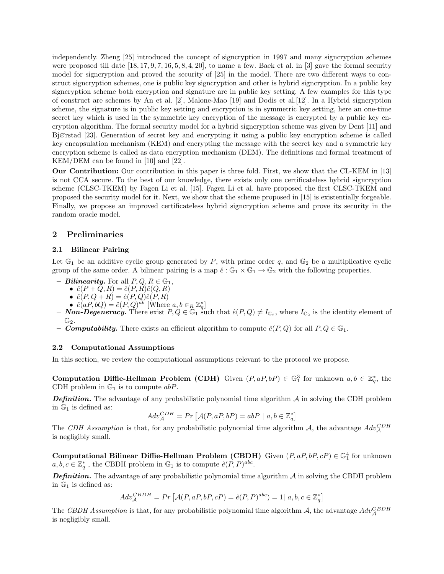independently. Zheng [25] introduced the concept of signcryption in 1997 and many signcryption schemes were proposed till date  $[18, 17, 9, 7, 16, 5, 8, 4, 20]$ , to name a few. Baek et al. in  $[3]$  gave the formal security model for signcryption and proved the security of [25] in the model. There are two different ways to construct signcryption schemes, one is public key signcryption and other is hybrid signcryption. In a public key signcryption scheme both encryption and signature are in public key setting. A few examples for this type of construct are schemes by An et al. [2], Malone-Mao [19] and Dodis et al.[12]. In a Hybrid signcryption scheme, the signature is in public key setting and encryption is in symmetric key setting, here an one-time secret key which is used in the symmetric key encryption of the message is encrypted by a public key encryption algorithm. The formal security model for a hybrid signcryption scheme was given by Dent [11] and Bj∅rstad [23]. Generation of secret key and encrypting it using a public key encryption scheme is called key encapsulation mechanism (KEM) and encrypting the message with the secret key and a symmetric key encryption scheme is called as data encryption mechanism (DEM). The definitions and formal treatment of KEM/DEM can be found in [10] and [22].

Our Contribution: Our contribution in this paper is three fold. First, we show that the CL-KEM in [13] is not CCA secure. To the best of our knowledge, there exists only one certificateless hybrid signcryption scheme (CLSC-TKEM) by Fagen Li et al. [15]. Fagen Li et al. have proposed the first CLSC-TKEM and proposed the security model for it. Next, we show that the scheme proposed in [15] is existentially forgeable. Finally, we propose an improved certificateless hybrid signcryption scheme and prove its security in the random oracle model.

# 2 Preliminaries

### 2.1 Bilinear Pairing

Let  $\mathbb{G}_1$  be an additive cyclic group generated by P, with prime order q, and  $\mathbb{G}_2$  be a multiplicative cyclic group of the same order. A bilinear pairing is a map  $\hat{e}: \mathbb{G}_1 \times \mathbb{G}_1 \to \mathbb{G}_2$  with the following properties.

- **Bilinearity.** For all  $P, Q, R \in \mathbb{G}_1$ ,
	- $\hat{e}(P + Q, R) = \hat{e}(P, R)\hat{e}(Q, R)$
	- $\hat{e}(P,Q+R) = \hat{e}(P,Q)\hat{e}(P,R)$
	-
- $\hat{e}(aP, bQ) = \hat{e}(P, Q)^{ab}$  [Where  $a, b \in_R \mathbb{Z}_q^*$ ]<br>  $\textbf{Non-Degeneracy.}$  There exist  $P, Q \in \mathbb{G}_1$  such that  $\hat{e}(P, Q) \neq I_{\mathbb{G}_2}$ , where  $I_{\mathbb{G}_2}$  is the identity element of  $\mathbb{G}_2$ .
- **Computability.** There exists an efficient algorithm to compute  $\hat{e}(P,Q)$  for all  $P,Q \in \mathbb{G}_1$ .

#### 2.2 Computational Assumptions

In this section, we review the computational assumptions relevant to the protocol we propose.

**Computation Diffie-Hellman Problem (CDH)** Given  $(P, aP, bP) \in \mathbb{G}_1^3$  for unknown  $a, b \in \mathbb{Z}_q^*$ , the CDH problem in  $\mathbb{G}_1$  is to compute  $abP$ .

**Definition.** The advantage of any probabilistic polynomial time algorithm  $\mathcal A$  in solving the CDH problem in  $\mathbb{G}_1$  is defined as:

$$
Adv_{\mathcal{A}}^{CDH} = Pr\left[\mathcal{A}(P, aP, bP) = abP \mid a, b \in \mathbb{Z}_q^*\right]
$$

The CDH Assumption is that, for any probabilistic polynomial time algorithm A, the advantage  $Adv_{\mathcal{A}}^{CDH}$ is negligibly small.

Computational Bilinear Diffie-Hellman Problem (CBDH) Given  $(P, aP, bP, cP) \in \mathbb{G}_1^4$  for unknown  $a, b, c \in \mathbb{Z}_q^*$ , the CBDH problem in  $\mathbb{G}_1$  is to compute  $\hat{e}(P, P)^{abc}$ .

**Definition.** The advantage of any probabilistic polynomial time algorithm  $\mathcal A$  in solving the CBDH problem in  $\mathbb{G}_1$  is defined as:

 $Adv_{\mathcal{A}}^{CBDH} = Pr \left[ \mathcal{A}(P, aP, bP, cP) = \hat{e}(P, P)^{abc} \right] = 1 | a, b, c \in \mathbb{Z}_{q}^{*} \right]$ 

The CBDH Assumption is that, for any probabilistic polynomial time algorithm A, the advantage  $Adv_{\mathcal{A}}^{CBDH}$ is negligibly small.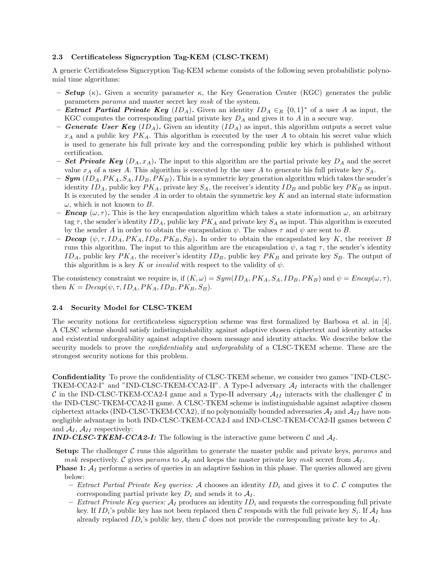### 2.3 Certificateless Signcryption Tag-KEM (CLSC-TKEM)

A generic Certificateless Signcryption Tag-KEM scheme consists of the following seven probabilistic polynomial time algorithms:

- **Setup** (κ). Given a security parameter κ, the Key Generation Center (KGC) generates the public parameters params and master secret key msk of the system.
- Extract Partial Private Key  $(ID_A)$ . Given an identity  $ID_A \in_R \{0,1\}^*$  of a user A as input, the KGC computes the corresponding partial private key  $D_A$  and gives it to A in a secure way.
- Generate User Key  $(ID_A)$ . Given an identity  $(ID_A)$  as input, this algorithm outputs a secret value  $x_A$  and a public key  $PK_A$ . This algorithm is executed by the user A to obtain his secret value which is used to generate his full private key and the corresponding public key which is published without certification.
- **Set Private Key**  $(D_A, x_A)$ . The input to this algorithm are the partial private key  $D_A$  and the secret value  $x_A$  of a user A. This algorithm is executed by the user A to generate his full private key  $S_A$ .
- $-$  Sym  $(ID<sub>A</sub>, PK<sub>A</sub>, S<sub>A</sub>, ID<sub>B</sub>, PK<sub>B</sub>)$ . This is a symmetric key generation algorithm which takes the sender's identity  $ID_A$ , public key  $PK_A$ , private key  $S_A$ , the receiver's identity  $ID_B$  and public key  $PK_B$  as input. It is executed by the sender A in order to obtain the symmetric key K and an internal state information  $\omega$ , which is not known to B.
- **Encap**  $(\omega, \tau)$ . This is the key encapsulation algorithm which takes a state information  $\omega$ , an arbitrary tag  $\tau$ , the sender's identity  $ID_A$ , public key  $PK_A$  and private key  $S_A$  as input. This algorithm is executed by the sender A in order to obtain the encapsulation  $\psi$ . The values  $\tau$  and  $\psi$  are sent to B.
- **Decap**  $(\psi, \tau, ID_A, PK_A, ID_B, PK_B, S_B)$ . In order to obtain the encapsulated key K, the receiver B runs this algorithm. The input to this algorithm are the encapsulation  $\psi$ , a tag  $\tau$ , the sender's identity  $ID_A$ , public key  $PK_A$ , the receiver's identity  $ID_B$ , public key  $PK_B$  and private key  $S_B$ . The output of this algorithm is a key K or *invalid* with respect to the validity of  $\psi$ .

The consistency constraint we require is, if  $(K, \omega) = Sym(ID, PK_A, S_A, ID_B, PK_B)$  and  $\psi = Encap(\omega, \tau)$ , then  $K = Decap(\psi, \tau, ID_A, PK_A, ID_B, PK_B, S_B).$ 

#### 2.4 Security Model for CLSC-TKEM

The security notions for certificateless signcryption scheme was first formalized by Barbosa et al. in [4]. A CLSC scheme should satisfy indistinguishability against adaptive chosen ciphertext and identity attacks and existential unforgeability against adaptive chosen message and identity attacks. We describe below the security models to prove the *confidentiality* and *unforgeability* of a CLSC-TKEM scheme. These are the strongest security notions for this problem.

Confidentiality To prove the confidentiality of CLSC-TKEM scheme, we consider two games "IND-CLSC-TKEM-CCA2-I" and "IND-CLSC-TKEM-CCA2-II". A Type-I adversary  $\mathcal{A}_I$  interacts with the challenger C in the IND-CLSC-TKEM-CCA2-I game and a Type-II adversary  $A_{II}$  interacts with the challenger C in the IND-CLSC-TKEM-CCA2-II game. A CLSC-TKEM scheme is indistinguishable against adaptive chosen ciphertext attacks (IND-CLSC-TKEM-CCA2), if no polynomially bounded adversaries  $A_I$  and  $A_{II}$  have nonnegligible advantage in both IND-CLSC-TKEM-CCA2-I and IND-CLSC-TKEM-CCA2-II games between C and  $A_I$ ,  $A_{II}$  respectively:

**IND-CLSC-TKEM-CCA2-I:** The following is the interactive game between C and  $A_I$ .

- **Setup:** The challenger C runs this algorithm to generate the master public and private keys, params and msk respectively. C gives params to  $A_I$  and keeps the master private key msk secret from  $A_I$ .
- **Phase 1:**  $A_I$  performs a series of queries in an adaptive fashion in this phase. The queries allowed are given below:
	- Extract Partial Private Key queries: A chooses an identity  $ID_i$  and gives it to C. C computes the corresponding partial private key  $D_i$  and sends it to  $A_I$ .
	- Extract Private Key queries:  $A_I$  produces an identity  $ID_i$  and requests the corresponding full private key. If  $ID_i$ 's public key has not been replaced then C responds with the full private key  $S_i$ . If  $\mathcal{A}_I$  has already replaced  $ID_i$ 's public key, then C does not provide the corresponding private key to  $A_I$ .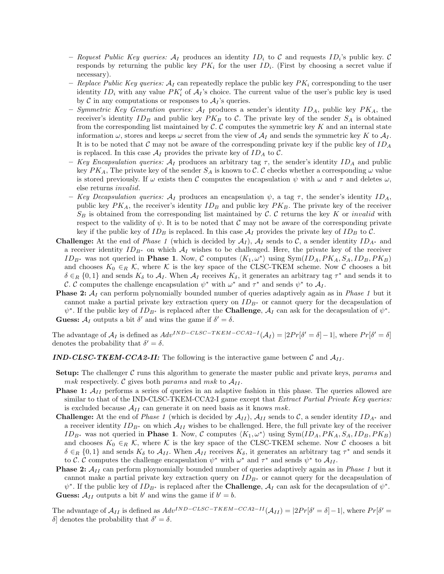- Request Public Key queries:  $A_I$  produces an identity  $ID_i$  to C and requests  $ID_i$ 's public key. C responds by returning the public key  $PK_i$  for the user  $ID_i$ . (First by choosing a secret value if necessary).
- Replace Public Key queries:  $A_I$  can repeatedly replace the public key  $PK_i$  corresponding to the user identity  $ID_i$  with any value  $PK_i'$  of  $A_i$ 's choice. The current value of the user's public key is used by C in any computations or responses to  $A_I$ 's queries.
- Symmetric Key Generation queries:  $A_I$  produces a sender's identity  $ID_A$ , public key  $PK_A$ , the receiver's identity  $ID_B$  and public key  $PK_B$  to C. The private key of the sender  $S_A$  is obtained from the corresponding list maintained by  $C$ . C computes the symmetric key K and an internal state information  $\omega$ , stores and keeps  $\omega$  secret from the view of  $\mathcal{A}_I$  and sends the symmetric key K to  $\mathcal{A}_I$ . It is to be noted that C may not be aware of the corresponding private key if the public key of  $ID_A$ is replaced. In this case  $\mathcal{A}_I$  provides the private key of  $ID_A$  to C.
- Key Encapsulation queries:  $A_I$  produces an arbitrary tag  $\tau$ , the sender's identity  $ID_A$  and public key  $PK_A$ , The private key of the sender  $S_A$  is known to C. C checks whether a corresponding  $\omega$  value is stored previously. If  $\omega$  exists then C computes the encapsulation  $\psi$  with  $\omega$  and  $\tau$  and deletes  $\omega$ , else returns invalid.
- Key Decapsulation queries:  $\mathcal{A}_I$  produces an encapsulation  $\psi$ , a tag  $\tau$ , the sender's identity  $ID_A$ , public key  $PK_A$ , the receiver's identity  $ID_B$  and public key  $PK_B$ . The private key of the receiver  $S_B$  is obtained from the corresponding list maintained by C. C returns the key K or invalid with respect to the validity of  $\psi$ . It is to be noted that C may not be aware of the corresponding private key if the public key of  $ID_B$  is replaced. In this case  $A_I$  provides the private key of  $ID_B$  to  $C$ .
- **Challenge:** At the end of *Phase 1* (which is decided by  $\mathcal{A}_I$ ),  $\mathcal{A}_I$  sends to  $\mathcal{C}$ , a sender identity  $ID_{\mathcal{A}^*}$  and a receiver identity  $ID_{B^*}$  on which  $\mathcal{A}_I$  wishes to be challenged. Here, the private key of the receiver ID<sub>B<sup>∗</sup></sub> was not queried in **Phase 1**. Now, C computes  $\langle K_1, \omega^* \rangle$  using Sym(ID<sub>A</sub>, PK<sub>A</sub>, S<sub>A</sub>, ID<sub>B</sub>, PK<sub>B</sub>) and chooses  $K_0 \in_R \mathcal{K}$ , where K is the key space of the CLSC-TKEM scheme. Now C chooses a bit  $\delta \in_R \{0,1\}$  and sends  $K_\delta$  to  $\mathcal{A}_I$ . When  $\mathcal{A}_I$  receives  $K_\delta$ , it generates an arbitrary tag  $\tau^*$  and sends it to C. C computes the challenge encapsulation  $\psi^*$  with  $\omega^*$  and  $\tau^*$  and sends  $\psi^*$  to  $\mathcal{A}_I$ .
- **Phase 2:**  $A_I$  can perform polynomially bounded number of queries adaptively again as in *Phase 1* but it cannot make a partial private key extraction query on  $ID_{B^*}$  or cannot query for the decapsulation of  $\psi^*$ . If the public key of  $ID_{B^*}$  is replaced after the **Challenge**,  $A_I$  can ask for the decapsulation of  $\psi^*$ . **Guess:**  $A_I$  outputs a bit  $\delta'$  and wins the game if  $\delta' = \delta$ .

The advantage of  $A_I$  is defined as  $Adv^{IND-CLSC-TKEM-CCA2-I}(\mathcal{A}_I) = |2Pr[\delta' = \delta]-1|$ , where  $Pr[\delta' = \delta]$ denotes the probability that  $\delta' = \delta$ .

- **IND-CLSC-TKEM-CCA2-II:** The following is the interactive game between C and  $A_{II}$ .
- **Setup:** The challenger  $C$  runs this algorithm to generate the master public and private keys, params and msk respectively. C gives both params and msk to  $A_{II}$ .
- **Phase 1:**  $A_{II}$  performs a series of queries in an adaptive fashion in this phase. The queries allowed are similar to that of the IND-CLSC-TKEM-CCA2-I game except that *Extract Partial Private Key queries:* is excluded because  $A_{II}$  can generate it on need basis as it knows msk.
- **Challenge:** At the end of *Phase 1* (which is decided by  $\mathcal{A}_{II}$ ),  $\mathcal{A}_{II}$  sends to C, a sender identity  $ID_{A^*}$  and a receiver identity  $ID_{B^*}$  on which  $\mathcal{A}_{II}$  wishes to be challenged. Here, the full private key of the receiver ID<sub>B<sup>∗</sup></sub> was not queried in **Phase 1**. Now, C computes  $\langle K_1, \omega^* \rangle$  using Sym(ID<sub>A</sub>, PK<sub>A</sub>, S<sub>A</sub>, ID<sub>B</sub>, PK<sub>B</sub>) and chooses  $K_0 \in_R \mathcal{K}$ , where K is the key space of the CLSC-TKEM scheme. Now C chooses a bit  $\delta \in_R \{0,1\}$  and sends  $K_{\delta}$  to  $\mathcal{A}_{II}$ . When  $\mathcal{A}_{II}$  receives  $K_{\delta}$ , it generates an arbitrary tag  $\tau^*$  and sends it to C. C computes the challenge encapsulation  $\psi^*$  with  $\omega^*$  and  $\tau^*$  and sends  $\psi^*$  to  $\mathcal{A}_{II}$ .
- **Phase 2:**  $A_{II}$  can perform ploynomially bounded number of queries adaptively again as in *Phase 1* but it cannot make a partial private key extraction query on  $ID_{B*}$  or cannot query for the decapsulation of  $\psi^*$ . If the public key of  $ID_{B^*}$  is replaced after the **Challenge**,  $A_I$  can ask for the decapsulation of  $\psi^*$ . **Guess:**  $A_{II}$  outputs a bit b' and wins the game if  $b' = b$ .

The advantage of  $\mathcal{A}_{II}$  is defined as  $Adv^{IND-CLSC-TKEM-CCA2-II}(\mathcal{A}_{II}) = |2Pr[\delta' = \delta]-1|$ , where  $Pr[\delta' = \delta]$ δ denotes the probability that  $\delta' = \delta$ .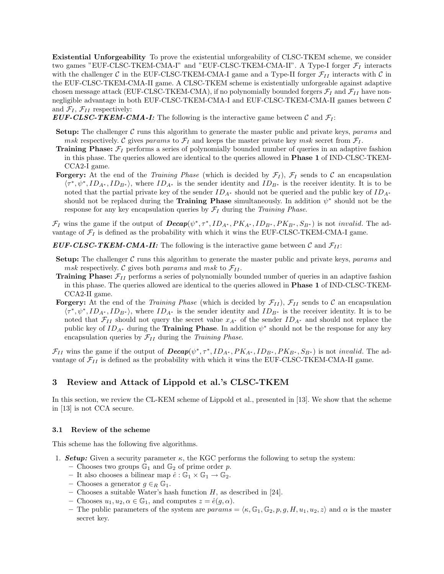Existential Unforgeability To prove the existential unforgeability of CLSC-TKEM scheme, we consider two games "EUF-CLSC-TKEM-CMA-I" and "EUF-CLSC-TKEM-CMA-II". A Type-I forger  $\mathcal{F}_I$  interacts with the challenger C in the EUF-CLSC-TKEM-CMA-I game and a Type-II forger  $\mathcal{F}_{II}$  interacts with C in the EUF-CLSC-TKEM-CMA-II game. A CLSC-TKEM scheme is existentially unforgeable against adaptive chosen message attack (EUF-CLSC-TKEM-CMA), if no polynomially bounded forgers  $\mathcal{F}_I$  and  $\mathcal{F}_{II}$  have nonnegligible advantage in both EUF-CLSC-TKEM-CMA-I and EUF-CLSC-TKEM-CMA-II games between C and  $\mathcal{F}_I$ ,  $\mathcal{F}_{II}$  respectively:

EUF-CLSC-TKEM-CMA-I: The following is the interactive game between  $\mathcal C$  and  $\mathcal F_I$ :

- **Setup:** The challenger  $C$  runs this algorithm to generate the master public and private keys, params and msk respectively. C gives params to  $\mathcal{F}_I$  and keeps the master private key msk secret from  $\mathcal{F}_I$ .
- **Training Phase:**  $\mathcal{F}_I$  performs a series of polynomially bounded number of queries in an adaptive fashion in this phase. The queries allowed are identical to the queries allowed in Phase 1 of IND-CLSC-TKEM-CCA2-I game.
- **Forgery:** At the end of the *Training Phase* (which is decided by  $\mathcal{F}_I$ ),  $\mathcal{F}_I$  sends to C an encapsulation  $\langle \tau^*, \psi^*, ID_{A^*}, ID_{B^*}\rangle$ , where  $ID_{A^*}$  is the sender identity and  $ID_{B^*}$  is the receiver identity. It is to be noted that the partial private key of the sender  $ID_{A^*}$  should not be queried and the public key of  $ID_{A^*}$ should not be replaced during the **Training Phase** simultaneously. In addition  $\psi^*$  should not be the response for any key encapsulation queries by  $\mathcal{F}_I$  during the Training Phase.

 $\mathcal{F}_I$  wins the game if the output of  $\boldsymbol{Decap}(\psi^*, \tau^*, ID_{A^*}, PK_{A^*}, ID_{B^*}, PK_{B^*}, S_{B^*})$  is not *invalid*. The advantage of  $\mathcal{F}_I$  is defined as the probability with which it wins the EUF-CLSC-TKEM-CMA-I game.

**EUF-CLSC-TKEM-CMA-II:** The following is the interactive game between C and  $\mathcal{F}_{II}$ :

- **Setup:** The challenger  $C$  runs this algorithm to generate the master public and private keys, params and msk respectively. C gives both params and msk to  $\mathcal{F}_{II}$ .
- **Training Phase:**  $\mathcal{F}_{II}$  performs a series of polynomially bounded number of queries in an adaptive fashion in this phase. The queries allowed are identical to the queries allowed in Phase 1 of IND-CLSC-TKEM-CCA2-II game.
- **Forgery:** At the end of the Training Phase (which is decided by  $\mathcal{F}_{II}$ ),  $\mathcal{F}_{II}$  sends to C an encapsulation  $\langle \tau^*, \psi^*, ID_{A^*}, ID_{B^*}\rangle$ , where  $ID_{A^*}$  is the sender identity and  $ID_{B^*}$  is the receiver identity. It is to be noted that  $\mathcal{F}_{II}$  should not query the secret value  $x_{A^*}$  of the sender  $ID_{A^*}$  and should not replace the public key of  $ID_{A^*}$  during the **Training Phase**. In addition  $\psi^*$  should not be the response for any key encapsulation queries by  $\mathcal{F}_{II}$  during the *Training Phase.*

 $\mathcal{F}_{II}$  wins the game if the output of  $\textit{Decap}(\psi^*, \tau^*, ID_{A^*}, PK_{A^*}, ID_{B^*}, PK_{B^*}, S_{B^*})$  is not *invalid*. The advantage of  $\mathcal{F}_{II}$  is defined as the probability with which it wins the EUF-CLSC-TKEM-CMA-II game.

# 3 Review and Attack of Lippold et al.'s CLSC-TKEM

In this section, we review the CL-KEM scheme of Lippold et al., presented in [13]. We show that the scheme in [13] is not CCA secure.

#### 3.1 Review of the scheme

This scheme has the following five algorithms.

- 1. **Setup:** Given a security parameter  $\kappa$ , the KGC performs the following to setup the system:
	- Chooses two groups  $\mathbb{G}_1$  and  $\mathbb{G}_2$  of prime order p.
	- It also chooses a bilinear map  $\hat{e}: \mathbb{G}_1 \times \mathbb{G}_1 \to \mathbb{G}_2$ .
	- Chooses a generator  $g \in_R \mathbb{G}_1$ .
	- Chooses a suitable Water's hash function  $H$ , as described in [24].
	- Chooses  $u_1, u_2, \alpha \in \mathbb{G}_1$ , and computes  $z = \hat{e}(g, \alpha)$ .
	- The public parameters of the system are  $params = \langle \kappa, \mathbb{G}_1, \mathbb{G}_2, p, g, H, u_1, u_2, z \rangle$  and  $\alpha$  is the master secret key.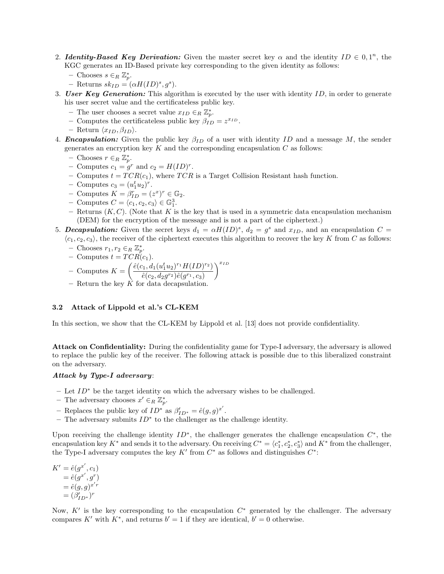- 2. **Identity-Based Key Derivation:** Given the master secret key  $\alpha$  and the identity  $ID \in 0, 1^n$ , the KGC generates an ID-Based private key corresponding to the given identity as follows:
	- − Chooses  $s \in_R \mathbb{Z}_p^*$ .
	- Returns  $sk_{ID} = (\alpha H(ID)^s, g^s)$ .
- 3. User Key Generation: This algorithm is executed by the user with identity  $ID$ , in order to generate his user secret value and the certificateless public key.
	- The user chooses a secret value  $x_{ID} \in_R \mathbb{Z}_p^*$ .
	- Computes the certificateless public key  $\hat{\beta}_{ID} = z^{x_{ID}}$ .
	- Return  $\langle x_{ID}, \beta_{ID} \rangle$ .
- 4. **Encapsulation:** Given the public key  $\beta_{ID}$  of a user with identity ID and a message M, the sender generates an encryption key  $K$  and the corresponding encapsulation  $C$  as follows:
	- − Chooses  $r \in_R \mathbb{Z}_p^*$ .
	- Computes  $c_1 = g^r$  and  $c_2 = H(ID)^r$ .
	- Computes  $t = TCR(c_1)$ , where  $TCR$  is a Target Collision Resistant hash function.
	- Computes  $c_3 = (u_1^t u_2)^r$ .
	- Computes  $K = \beta_{ID}^r = (z^x)^r \in \mathbb{G}_2$ .
	- Computes  $C = \langle c_1, c_2, c_3 \rangle \in \mathbb{G}_1^3$ .
	- Returns  $(K, C)$ . (Note that K is the key that is used in a symmetric data encapsulation mechanism (DEM) for the encryption of the message and is not a part of the ciphertext.)
- 5. **Decapsulation:** Given the secret keys  $d_1 = \alpha H(ID)^s$ ,  $d_2 = g^s$  and  $x_{ID}$ , and an encapsulation  $C =$  $\langle c_1, c_2, c_3 \rangle$ , the receiver of the ciphertext executes this algorithm to recover the key K from C as follows:

- Chooses 
$$
r_1, r_2 \in_R \mathbb{Z}_p^*
$$
.

– Computes  $t = TCR(c_1)$ .

- Computers 
$$
K = \left(\frac{\hat{e}(c_1, d_1(u_1^t u_2)^{r_1} H(ID)^{r_2})}{\hat{e}(c_2, d_2 g^{r_2})\hat{e}(g^{r_1}, c_3)}\right)^{x_{ID}}
$$

– Return the key  $K$  for data decapsulation.

## 3.2 Attack of Lippold et al.'s CL-KEM

In this section, we show that the CL-KEM by Lippold et al. [13] does not provide confidentiality.

Attack on Confidentiality: During the confidentiality game for Type-I adversary, the adversary is allowed to replace the public key of the receiver. The following attack is possible due to this liberalized constraint on the adversary.

### Attack by Type-I adversary:

- Let  $ID^*$  be the target identity on which the adversary wishes to be challenged.
- The adversary chooses  $x' \in_R \mathbb{Z}_p^*$ .
- Replaces the public key of  $ID^*$  as  $\beta'_{ID^*} = \hat{e}(g, g)^{x'}$ .
- $-$  The adversary submits  $ID^*$  to the challenger as the challenge identity.

Upon receiving the challenge identity  $ID^*$ , the challenger generates the challenge encapsulation  $C^*$ , the encapsulation key  $K^*$  and sends it to the adversary. On receiving  $C^* = \langle c_1^*, c_2^*, c_3^* \rangle$  and  $K^*$  from the challenger, the Type-I adversary computes the key  $K'$  from  $C^*$  as follows and distinguishes  $C^*$ :

 $K' = \hat{e}(g^{x'}, c_1)$  $= \hat{e}(g^{x'}, g^r)$  $=\hat{e}(g,g)^{x'r}$  $= (\beta'_{ID^*})^r$ 

Now,  $K'$  is the key corresponding to the encapsulation  $C^*$  generated by the challenger. The adversary compares K' with  $K^*$ , and returns  $b' = 1$  if they are identical,  $b' = 0$  otherwise.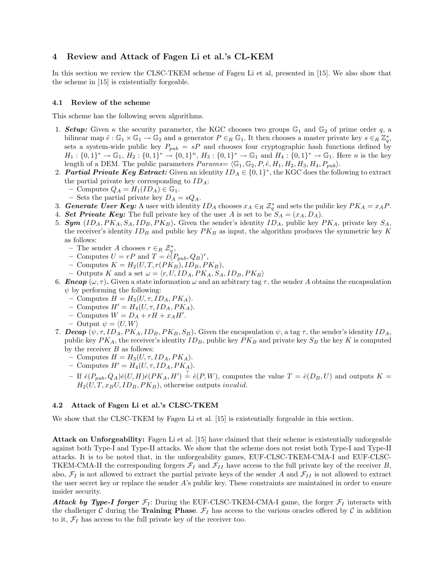# 4 Review and Attack of Fagen Li et al.'s CL-KEM

In this section we review the CLSC-TKEM scheme of Fagen Li et al, presented in [15]. We also show that the scheme in [15] is existentially forgeable.

#### 4.1 Review of the scheme

This scheme has the following seven algorithms.

- 1. **Setup:** Given  $\kappa$  the security parameter, the KGC chooses two groups  $\mathbb{G}_1$  and  $\mathbb{G}_2$  of prime order q, a bilinear map  $\hat{e}: \mathbb{G}_1 \times \mathbb{G}_1 \to \mathbb{G}_2$  and a generator  $P \in_R \mathbb{G}_1$ . It then chooses a master private key  $s \in_R \mathbb{Z}_q^*$ , sets a system-wide public key  $P_{pub} = sP$  and chooses four cryptographic hash functions defined by  $H_1: \{0,1\}^* \to \mathbb{G}_1, H_2: \{0,1\}^* \to \{0,1\}^n, H_3: \{0,1\}^* \to \mathbb{G}_1$  and  $H_4: \{0,1\}^* \to \mathbb{G}_1$ . Here *n* is the key length of a DEM. The public parameters  $Params = \langle \mathbb{G}_1, \mathbb{G}_2, P, \hat{e}, H_1, H_2, H_3, H_4, P_{pub} \rangle$ .
- 2. **Partial Private Key Extract:** Given an identity  $ID_A \in \{0,1\}^*$ , the KGC does the following to extract the partial private key corresponding to  $ID_A$ :
	- Computes  $Q_A = H_1(ID_A) \in \mathbb{G}_1$ .
	- Sets the partial private key  $D_A = sQ_A$ .
- 3. **Generate User Key:** A user with identity  $ID_A$  chooses  $x_A \in_R \mathcal{Z}_q^*$  and sets the public key  $PK_A = x_A P$ .
- 4. Set Private Key: The full private key of the user A is set to be  $S_A = (x_A, D_A)$ .
- 5. **Sym**  $(ID<sub>A</sub>, PK<sub>A</sub>, S<sub>A</sub>, ID<sub>B</sub>, PK<sub>B</sub>)$ . Given the sender's identity  $ID<sub>A</sub>$ , public key  $PK<sub>A</sub>$ , private key  $S<sub>A</sub>$ , the receiver's identity  $ID_B$  and public key  $PK_B$  as input, the algorithm produces the symmetric key K as follows:
	- The sender A chooses  $r \in_R \mathcal{Z}_q^*$ ,
	- Computes  $U = rP$  and  $T = \hat{e}(P_{pub}, Q_B)^r$ ,
	- Computes  $K = H_2(U, T, r(PK_B), ID_B, PK_B),$
	- Outputs K and a set  $\omega = \langle r, U, ID_A, PK_A, S_A, ID_B, PK_B \rangle$
- 6. **Encap**  $(\omega, \tau)$ . Given a state information  $\omega$  and an arbitrary tag  $\tau$ , the sender A obtains the encapsulation  $\psi$  by performing the following:
	- Computes  $H = H_3(U, \tau, ID_A, PK_A)$ .
	- Computes  $H' = H_4(U, \tau, ID_A, PK_A).$
	- Computes  $W = D_A + rH + x_AH'$ .
	- Output  $\psi = \langle U, W \rangle$
- 7. Decap  $(\psi, \tau, ID_A, PK_A, ID_B, PK_B, S_B)$ . Given the encapsulation  $\psi$ , a tag  $\tau$ , the sender's identity  $ID_A$ , public key  $PK_A$ , the receiver's identity  $ID_B$ , public key  $PK_B$  and private key  $S_B$  the key K is computed by the receiver  $B$  as follows:
	- Computes  $H = H_3(U, \tau, ID_A, PK_A)$ .
	- Computes  $H' = H_4(U, \tau, ID_A, PK_A).$
	- If  $\hat{e}(P_{pub}, Q_A)\hat{e}(U, H)\hat{e}(PK_A, H') \stackrel{?}{=} \hat{e}(P, W)$ , computes the value  $T = \hat{e}(D_B, U)$  and outputs  $K =$  $H_2(U, T, x_B U, ID_B, PK_B)$ , otherwise outputs *invalid*.

## 4.2 Attack of Fagen Li et al.'s CLSC-TKEM

We show that the CLSC-TKEM by Fagen Li et al. [15] is existentially forgeable in this section.

Attack on Unforgeability: Fagen Li et al. [15] have claimed that their scheme is existentially unforgeable against both Type-I and Type-II attacks. We show that the scheme does not resist both Type-I and Type-II attacks. It is to be noted that, in the unforgeability games, EUF-CLSC-TKEM-CMA-I and EUF-CLSC-TKEM-CMA-II the corresponding forgers  $\mathcal{F}_I$  and  $\mathcal{F}_{II}$  have access to the full private key of the receiver B, also,  $\mathcal{F}_I$  is not allowed to extract the partial private keys of the sender A and  $\mathcal{F}_{II}$  is not allowed to extract the user secret key or replace the sender A's public key. These constraints are maintained in order to ensure insider security.

Attack by Type-I forger  $\mathcal{F}_I$ : During the EUF-CLSC-TKEM-CMA-I game, the forger  $\mathcal{F}_I$  interacts with the challenger C during the Training Phase.  $\mathcal{F}_I$  has access to the various oracles offered by C in addition to it,  $\mathcal{F}_I$  has access to the full private key of the receiver too.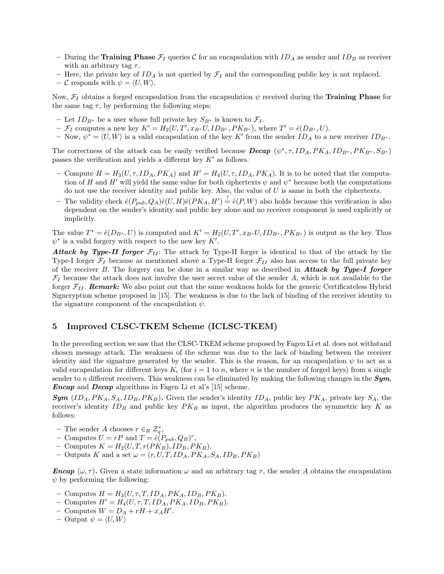- During the Training Phase  $\mathcal{F}_I$  queries C for an encapsulation with  $ID_A$  as sender and  $ID_B$  as receiver with an arbitrary tag  $\tau$ .
- Here, the private key of  $ID_A$  is not queried by  $\mathcal{F}_I$  and the corresponding public key is not replaced.
- C responds with  $\psi = \langle U, W \rangle$ .

Now,  $\mathcal{F}_I$  obtains a forged encapsulation from the encapsulation  $\psi$  received during the **Training Phase** for the same tag  $\tau$ , by performing the following steps:

- Let  $ID_{B^*}$  be a user whose full private key  $S_{B^*}$  is known to  $\mathcal{F}_I$ .
- $\mathcal{F}_I$  computes a new key  $K' = H_2(U, T', x_{B^*}U, ID_{B^*}, PK_{B^*}),$  where  $T' = \hat{e}(D_{B^*}, U)$ .
- Now,  $\psi^* = \langle U, W \rangle$  is a valid encapsulation of the key K' from the sender  $ID_A$  to a new receiver  $ID_{B^*}$ .

The correctness of the attack can be easily verified because **Decap**  $(\psi^*, \tau, ID_A, PK_A, ID_{B^*}, PK_{B^*}, S_{B^*})$ passes the verification and yields a different key  $K'$  as follows.

- Compute  $H = H_3(U, \tau, ID_A, PK_A)$  and  $H' = H_4(U, \tau, ID_A, PK_A)$ . It is to be noted that the computation of H and H' will yield the same value for both ciphertexts  $\psi$  and  $\psi^*$  because both the computations do not use the receiver identity and public key. Also, the value of  $U$  is same in both the ciphertexts.
- The validity check  $\hat{e}(P_{pub}, Q_A)\hat{e}(U, H)\hat{e}(PK_A, H') \stackrel{?}{=} \hat{e}(P, W)$  also holds because this verification is also dependent on the sender's identity and public key alone and no receiver component is used explicitly or implicitly.

The value  $T^* = \hat{e}(D_{B^*}, U)$  is computed and  $K' = H_2(U, T', x_{B^*}U, ID_{B^*}, PK_{B^*})$  is output as the key. Thus  $\psi^*$  is a valid forgery with respect to the new key  $K'$ .

**Attack by Type-II forger**  $\mathcal{F}_{II}$ **:** The attack by Type-II forger is identical to that of the attack by the Type-I forger  $\mathcal{F}_I$  because as mentioned above a Type-II forger  $\mathcal{F}_{II}$  also has access to the full private key of the receiver  $B$ . The forgery can be done in a similar way as described in **Attack by Type-I forger**  $\mathcal{F}_I$  because the attack does not involve the user secret value of the sender A, which is not available to the forger  $\mathcal{F}_{II}$ . **Remark:** We also point out that the same weakness holds for the generic Certificateless Hybrid Signcryption scheme proposed in [15]. The weakness is due to the lack of binding of the receiver identity to the signature component of the encapsulation  $\psi$ .

# 5 Improved CLSC-TKEM Scheme (ICLSC-TKEM)

In the preceding section we saw that the CLSC-TKEM scheme proposed by Fagen Li et al. does not withstand chosen message attack. The weakness of the scheme was due to the lack of binding between the receiver identity and the signature generated by the sender. This is the reason, for an encapsulation  $\psi$  to act as a valid encapsulation for different keys  $K_i$  (for  $i = 1$  to n, where n is the number of forged keys) from a single sender to n different receivers. This weakness can be eliminated by making the following changes in the  $Sym$ , Encap and Decap algorithms in Fagen Li et al's [15] scheme.

**Sym**  $(ID_A, PK_A, S_A, ID_B, PK_B)$ . Given the sender's identity  $ID_A$ , public key  $PK_A$ , private key  $S_A$ , the receiver's identity  $ID_B$  and public key  $PK_B$  as input, the algorithm produces the symmetric key K as follows:

- The sender A chooses  $r \in_R \mathcal{Z}_q^*$ ,
- Computes  $U = rP$  and  $T = \hat{e}(P_{pub}, Q_B)^r$ ,
- Computes  $K = H_2(U, T, r(PK_B), ID_B, PK_B),$
- Outputs K and a set  $\omega = (r, U, T, ID_A, PK_A, S_A, ID_B, PK_B)$

**Encap**  $(\omega, \tau)$ . Given a state information  $\omega$  and an arbitrary tag  $\tau$ , the sender A obtains the encapsulation  $\psi$  by performing the following:

- Computes  $H = H_3(U, \tau, T, ID_A, PK_A, ID_B, PK_B).$
- Computes  $H' = H_4(U, \tau, T, ID_A, PK_A, ID_B, PK_B).$
- Computes  $W = D_A + rH + x_AH'.$
- Output  $\psi = \langle U, W \rangle$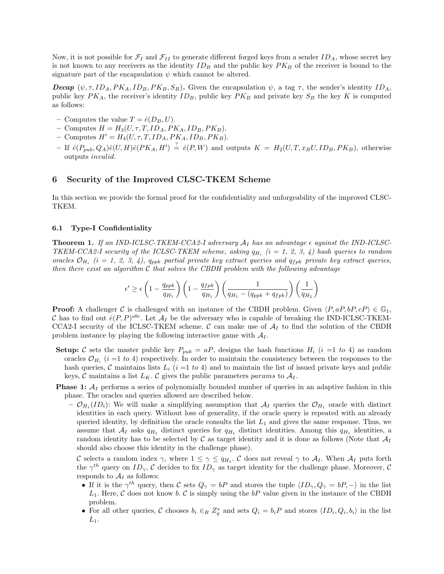Now, it is not possible for  $\mathcal{F}_I$  and  $\mathcal{F}_{II}$  to generate different forged keys from a sender  $ID_A$ , whose secret key is not known to any receivers as the identity  $ID_B$  and the public key  $PK_B$  of the receiver is bound to the signature part of the encapsulation  $\psi$  which cannot be altered.

**Decap**  $(\psi, \tau, ID_A, PK_A, ID_B, PK_B, S_B)$ . Given the encapsulation  $\psi$ , a tag  $\tau$ , the sender's identity  $ID_A$ , public key  $PK_A$ , the receiver's identity  $ID_B$ , public key  $PK_B$  and private key  $S_B$  the key K is computed as follows:

- Computes the value  $T = \hat{e}(D_B, U)$ .
- Computes  $H = H_3(U, \tau, T, ID_A, PK_A, ID_B, PK_B).$
- Computes  $H' = H_4(U, \tau, T, ID_A, PK_A, ID_B, PK_B).$
- $-If \hat{e}(P_{pub}, Q_A)\hat{e}(U, H)\hat{e}(PK_A, H') \stackrel{?}{=} \hat{e}(P, W)$  and outputs  $K = H_2(U, T, x_B U, ID_B, PK_B)$ , otherwise outputs invalid.

## 6 Security of the Improved CLSC-TKEM Scheme

In this section we provide the formal proof for the confidentiality and unforgeability of the improved CLSC-TKEM.

#### 6.1 Type-I Confidentiality

**Theorem 1.** If an IND-ICLSC-TKEM-CCA2-I adversary  $A_I$  has an advantage  $\epsilon$  against the IND-ICLSC-TKEM-CCA2-I security of the ICLSC-TKEM scheme, asking  $q_{H_i}$  (i = 1, 2, 3, 4) hash queries to random oracles  $\mathcal{O}_{H_i}$  (i = 1, 2, 3, 4),  $q_{ppk}$  partial private key extract queries and  $q_{fpk}$  private key extract queries, then there exist an algorithm  $\mathcal C$  that solves the CBDH problem with the following advantage

$$
\epsilon' \ge \epsilon \left(1 - \frac{q_{ppk}}{q_{H_1}}\right) \left(1 - \frac{q_{fpk}}{q_{H_1}}\right) \left(\frac{1}{q_{H_1} - (q_{ppk} + q_{fpk})}\right) \left(\frac{1}{q_{H_2}}\right)
$$

**Proof:** A challenger C is challenged with an instance of the CBDH problem. Given  $\langle P, aP, bP, cP \rangle \in \mathbb{G}_1$ , C has to find out  $\hat{e}(P, P)^{abc}$ . Let  $\mathcal{A}_I$  be the adversary who is capable of breaking the IND-ICLSC-TKEM-CCA2-I security of the ICLSC-TKEM scheme. C can make use of  $A<sub>I</sub>$  to find the solution of the CBDH problem instance by playing the following interactive game with  $A_I$ .

- Setup: C sets the master public key  $P_{pub} = aP$ , designs the hash functions  $H_i$  (i =1 to 4) as random oracles  $\mathcal{O}_{H_i}$  (*i* =1 to 4) respectively. In order to maintain the consistency between the responses to the hash queries, C maintains lists  $L_i$  (i =1 to 4) and to maintain the list of issued private keys and public keys, C maintains a list  $L_K$ . C gives the public parameters params to  $A_I$ .
- **Phase 1:**  $A_I$  performs a series of polynomially bounded number of queries in an adaptive fashion in this phase. The oracles and queries allowed are described below.
	- $\mathcal{O}_{H_1}(ID_i)$ : We will make a simplifying assumption that  $\mathcal{A}_I$  queries the  $\mathcal{O}_{H_1}$  oracle with distinct identities in each query. Without loss of generality, if the oracle query is repeated with an already queried identity, by definition the oracle consults the list  $L_1$  and gives the same response. Thus, we assume that  $A_I$  asks  $q_{H_1}$  distinct queries for  $q_{H_1}$  distinct identities. Among this  $q_{H_1}$  identities, a random identity has to be selected by  $\mathcal C$  as target identity and it is done as follows (Note that  $\mathcal A_I$ should also choose this identity in the challenge phase).

C selects a random index  $\gamma$ , where  $1 \leq \gamma \leq q_{H_1}$ . C does not reveal  $\gamma$  to  $A_I$ . When  $A_I$  puts forth the  $\gamma^{th}$  query on  $ID_{\gamma}$ , C decides to fix  $ID_{\gamma}$  as target identity for the challenge phase. Moreover, C responds to  $\mathcal{A}_I$  as follows:

- If it is the  $\gamma^{th}$  query, then C sets  $Q_{\gamma} = bP$  and stores the tuple  $\langle ID_{\gamma}, Q_{\gamma} = bP, -\rangle$  in the list  $L_1$ . Here, C does not know b. C is simply using the bP value given in the instance of the CBDH problem.
- For all other queries, C chooses  $b_i \in_R Z_q^*$  and sets  $Q_i = b_i P$  and stores  $\langle ID_i, Q_i, b_i \rangle$  in the list  $L_1$ .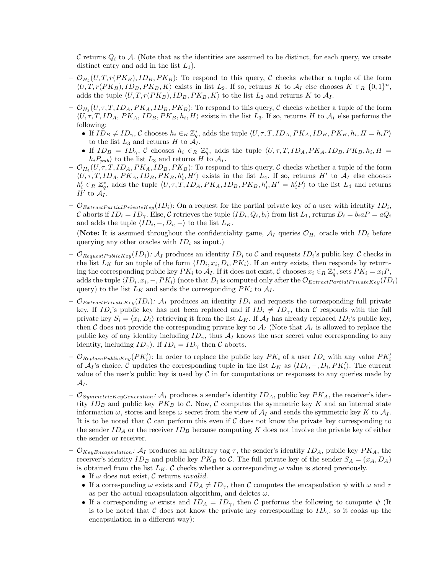C returns  $Q_i$  to A. (Note that as the identities are assumed to be distinct, for each query, we create distinct entry and add in the list  $L_1$ ).

- $\mathcal{O}_{H_2}(U, T, r(PK_B), ID_B, PK_B)$ : To respond to this query, C checks whether a tuple of the form  $\langle U, T, r(PK_B), ID_B, PK_B, K \rangle$  exists in list  $L_2$ . If so, returns K to  $\mathcal{A}_I$  else chooses  $K \in_R \{0,1\}^n$ , adds the tuple  $\langle U, T, r(PK_B), ID_B, PK_B, K \rangle$  to the list  $L_2$  and returns K to  $\mathcal{A}_I$ .
- $\mathcal{O}_{H_3}(U, \tau, T, ID_A, PK_A, ID_B, PK_B)$ : To respond to this query,  $\mathcal C$  checks whether a tuple of the form  $\langle U, \tau, T, ID_A, PK_A, ID_B, PK_B, h_i, H \rangle$  exists in the list  $L_3$ . If so, returns H to  $\mathcal{A}_I$  else performs the following:
	- If  $\overline{ID}_B \neq \overline{ID}_\gamma$ , C chooses  $h_i \in_R \mathbb{Z}_q^*$ , adds the tuple  $\langle U, \tau, T, ID_A, PK_A, ID_B, PK_B, h_i, H = h_i P \rangle$ to the list  $L_3$  and returns H to  $A_I$ .
	- If  $ID_B = ID_\gamma$ , C chooses  $h_i \in_R \mathbb{Z}_q^*$ , adds the tuple  $\langle U, \tau, T, ID_A, PK_A, ID_B, PK_B, h_i, H \rangle$  $h_iP_{pub}$  to the list  $L_3$  and returns H to  $A_I$ .
- $\mathcal{O}_{H_4}(U, \tau, T, ID_A, PK_A, ID_B, PK_B)$ : To respond to this query,  $\mathcal C$  checks whether a tuple of the form  $\langle U, \tau, T, ID_A, PK_A, ID_B, PK_B, h'_i, H' \rangle$  exists in the list  $L_4$ . If so, returns H' to  $\mathcal{A}_I$  else chooses  $h'_i \in_R \mathbb{Z}_q^*$ , adds the tuple  $\langle U, \tau, T, ID_A, PK_A, ID_B, PK_B, h'_i, H' = h'_iP \rangle$  to the list  $L_4$  and returns  $H'$  to  $\mathcal{A}_I$ .
- $\mathcal{O}_{ExtractPartialPrivateKey}(ID_i)$ : On a request for the partial private key of a user with identity  $ID_i$ , C aborts if  $ID_i = ID_\gamma$ . Else, C retrieves the tuple  $\langle ID_i, Q_i, b_i \rangle$  from list  $L_1$ , returns  $D_i = b_i a P = a Q_i$ and adds the tuple  $\langle ID_i, -, D_i, - \rangle$  to the list  $L_K$ .

(Note: It is assumed throughout the confidentiality game,  $A_I$  queries  $\mathcal{O}_{H_1}$  oracle with  $ID_i$  before querying any other oracles with  $ID_i$  as input.)

- $\mathcal{O}_{RequestPublicKey}(ID_i):$   $\mathcal{A}_I$  produces an identity  $ID_i$  to  $\mathcal C$  and requests  $ID_i$ 's public key.  $\mathcal C$  checks in the list  $L_K$  for an tuple of the form  $\langle ID_i, x_i, D_i, PK_i \rangle$ . If an entry exists, then responds by returning the corresponding public key  $PK_i$  to  $A_I$ . If it does not exist, C chooses  $x_i \in_R \mathbb{Z}_q^*$ , sets  $PK_i = x_iP$ , adds the tuple  $\langle ID_i, x_i, -, PK_i \rangle$  (note that  $D_i$  is computed only after the  $\mathcal{O}_{ExtractPartialPrivateKey}(ID_i)$ query) to the list  $L_K$  and sends the corresponding  $PK_i$  to  $A_I$ .
- $\mathcal{O}_{ExtractPrivateKey}(ID_i):$   $\mathcal{A}_I$  produces an identity  $ID_i$  and requests the corresponding full private key. If  $ID_i$ 's public key has not been replaced and if  $ID_i \neq ID_{\gamma}$ , then C responds with the full private key  $S_i = \langle x_i, D_i \rangle$  retrieving it from the list  $L_K$ . If  $\mathcal{A}_I$  has already replaced  $ID_i$ 's public key, then C does not provide the corresponding private key to  $A_I$  (Note that  $A_I$  is allowed to replace the public key of any identity including  $ID_{\gamma}$ , thus  $\mathcal{A}_I$  knows the user secret value corresponding to any identity, including  $ID_{\gamma}$ ). If  $ID_i = ID_{\gamma}$  then C aborts.
- $\mathcal{O}_{ReplacePublicKey}(PK'_i)$ : In order to replace the public key  $PK_i$  of a user  $ID_i$  with any value  $PK'_i$ of  $\mathcal{A}_I$ 's choice,  $\mathcal C$  updates the corresponding tuple in the list  $L_K$  as  $\langle ID_i, -, D_i, PK'_i \rangle$ . The current value of the user's public key is used by  $\mathcal C$  in for computations or responses to any queries made by  $\mathcal{A}_I$  .
- $-\mathcal{O}_{SymmetricKeyGeneration}$ :  $\mathcal{A}_I$  produces a sender's identity  $ID_A$ , public key  $PK_A$ , the receiver's identity  $ID_B$  and public key  $PK_B$  to C. Now, C computes the symmetric key K and an internal state information  $\omega$ , stores and keeps  $\omega$  secret from the view of  $\mathcal{A}_I$  and sends the symmetric key K to  $\mathcal{A}_I$ . It is to be noted that  $\mathcal C$  can perform this even if  $\mathcal C$  does not know the private key corresponding to the sender  $ID_A$  or the receiver  $ID_B$  because computing K does not involve the private key of either the sender or receiver.
- $\mathcal{O}_{KevEncapsulation}$ :  $\mathcal{A}_I$  produces an arbitrary tag  $\tau$ , the sender's identity  $ID_A$ , public key  $PK_A$ , the receiver's identity  $ID_B$  and public key  $PK_B$  to C. The full private key of the sender  $S_A = (x_A, D_A)$ is obtained from the list  $L_K$ . C checks whether a corresponding  $\omega$  value is stored previously.
	- If  $\omega$  does not exist,  $\mathcal C$  returns *invalid*.
	- If a corresponding  $\omega$  exists and  $ID_A \neq ID_{\gamma}$ , then C computes the encapsulation  $\psi$  with  $\omega$  and  $\tau$ as per the actual encapsulation algorithm, and deletes  $\omega$ .
	- If a corresponding  $\omega$  exists and  $ID_A = ID_\gamma$ , then C performs the following to compute  $\psi$  (It is to be noted that C does not know the private key corresponding to  $ID_{\gamma}$ , so it cooks up the encapsulation in a different way):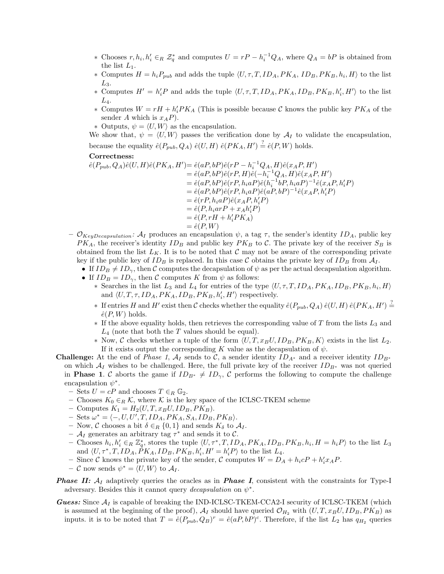- ∗ Chooses  $r, h_i, h'_i \in_R \mathcal{Z}_q^*$  and computes  $U = rP h_i^{-1}Q_A$ , where  $Q_A = bP$  is obtained from the list  $L_1$ .
- ∗ Computes  $H = h_i P_{pub}$  and adds the tuple  $\langle U, \tau, T, ID_A, PK_A, ID_B, PK_B, h_i, H \rangle$  to the list  $L_3$ .
- \* Computes  $H' = h'_iP$  and adds the tuple  $\langle U, \tau, T, ID_A, PK_A, ID_B, PK_B, h'_i, H' \rangle$  to the list  $L_4$ .
- ∗ Computes  $W = rH + h'_i P K_A$  (This is possible because C knows the public key  $PK_A$  of the sender A which is  $x_A P$ ).
- $∗$  Outputs,  $ψ = ⟨U, W⟩$  as the encapsulation.

We show that,  $\psi = \langle U, W \rangle$  passes the verification done by  $\mathcal{A}_I$  to validate the encapsulation, because the equality  $\hat{e}(P_{pub}, Q_A) \hat{e}(U, H) \hat{e}(PK_A, H') \stackrel{?}{=} \hat{e}(P, W)$  holds.

#### Correctness:

$$
\begin{aligned}\n\hat{e}(P_{pub},Q_A)\hat{e}(U,H)\hat{e}(PK_A,H')&=\hat{e}(aP,bP)\hat{e}(rP-h_i^{-1}Q_A,H)\hat{e}(x_AP,H')\\
&=\hat{e}(aP,bP)\hat{e}(rP,H)\hat{e}(-h_i^{-1}Q_A,H)\hat{e}(x_AP,H')\\
&=\hat{e}(aP,bP)\hat{e}(rP,h_iaP)\hat{e}(h_i^{-1}bP,h_iaP)^{-1}\hat{e}(x_AP,h_i'P)\\
&=\hat{e}(aP,bP)\hat{e}(rP,h_iaP)\hat{e}(aP,bP)^{-1}\hat{e}(x_AP,h_i'P)\\
&=\hat{e}(rP,h_iaP)\hat{e}(x_AP,h_i'P)\\
&=\hat{e}(P,h_iarP+x_Ah_i'P)\\
&=\hat{e}(P,W)\n\end{aligned}
$$

- $\mathcal{O}_{KeyDecapsulation}$ :  $\mathcal{A}_I$  produces an encapsulation  $\psi$ , a tag  $\tau$ , the sender's identity  $ID_A$ , public key  $PK_A$ , the receiver's identity  $ID_B$  and public key  $PK_B$  to C. The private key of the receiver  $S_B$  is obtained from the list  $L_K$ . It is to be noted that C may not be aware of the corresponding private key if the public key of  $ID_B$  is replaced. In this case C obtains the private key of  $ID_B$  from  $A_I$ .
	- If  $ID_B \neq ID_{\gamma}$ , then C computes the decapsulation of  $\psi$  as per the actual decapsulation algorithm.
	- If  $ID_B = ID_\gamma$ , then C computes K from  $\psi$  as follows:
		- \* Searches in the list  $L_3$  and  $L_4$  for entries of the type  $\langle U, \tau, T, ID_A, PK_A, ID_B, PK_B, h_i, H \rangle$ and  $\langle U, T, \tau, ID_A, PK_A, ID_B, PK_B, h'_i, H'\rangle$  respectively.
		- ∗ If entries H and H' exist then C checks whether the equality  $\hat{e}(P_{pub}, Q_A) \hat{e}(U, H) \hat{e}(PK_A, H') \stackrel{?}{=}$  $\hat{e}(P, W)$  holds.
		- $*$  If the above equality holds, then retrieves the corresponding value of T from the lists  $L_3$  and  $L_4$  (note that both the T values should be equal).
		- ∗ Now, C checks whether a tuple of the form  $\langle U, T, x_B U, ID_B, PK_B, K \rangle$  exists in the list  $L_2$ . If it exists output the corresponding K value as the decapsulation of  $\psi$ .
- **Challenge:** At the end of *Phase 1, A<sub>I</sub>* sends to C, a sender identity  $ID_{A^*}$  and a receiver identity  $ID_{B^*}$ on which  $\mathcal{A}_I$  wishes to be challenged. Here, the full private key of the receiver  $ID_{B^*}$  was not queried in **Phase 1.** C aborts the game if  $ID_{B^*} \neq ID_{\gamma}$ , C performs the following to compute the challenge encapsulation  $\psi^*$ .
	- Sets  $U = cP$  and chooses  $T \in_R \mathbb{G}_2$ .
	- Chooses  $K_0 \in_R \mathcal{K}$ , where  $\mathcal K$  is the key space of the ICLSC-TKEM scheme
	- Computes  $K_1 = H_2(U, T, x_B U, ID_B, PK_B)$ .
	- $-$  Sets  $\omega^* = \langle -, U, U', T, ID_A, PK_A, S_A, ID_B, PK_B \rangle.$
	- Now, C chooses a bit  $\delta \in_R \{0,1\}$  and sends  $K_{\delta}$  to  $\mathcal{A}_I$ .
	- $-$  A<sub>I</sub> generates an arbitrary tag  $\tau^*$  and sends it to C.
	- Chooses  $h_i, h'_i \in_R \mathbb{Z}_q^*$ , stores the tuple  $\langle U, \tau^*, T, ID_A, PK_A, ID_B, PK_B, h_i, H = h_i P \rangle$  to the list  $L_3$ and  $\langle U, \tau^*, T, ID_A, \dot{P}K_A, ID_B, PK_B, h'_i, H' = h'_i P \rangle$  to the list  $L_4$ .
	- Since C knows the private key of the sender, C computes  $W = D_A + h_i cP + h'_i x_A P$ .
	- $-$  C now sends  $\psi^* = \langle U, W \rangle$  to  $\mathcal{A}_I$ .
- **Phase II:**  $A_I$  adaptively queries the oracles as in **Phase I**, consistent with the constraints for Type-I adversary. Besides this it cannot query *decapsulation* on  $\psi^*$ .
- **Guess:** Since  $A_I$  is capable of breaking the IND-ICLSC-TKEM-CCA2-I security of ICLSC-TKEM (which is assumed at the beginning of the proof),  $A_I$  should have queried  $\mathcal{O}_{H_2}$  with  $(U, T, x_B U, ID_B, PK_B)$  as inputs. it is to be noted that  $T = \hat{e}(P_{pub}, Q_B)^r = \hat{e}(aP, bP)^c$ . Therefore, if the list  $L_2$  has  $q_{H_2}$  queries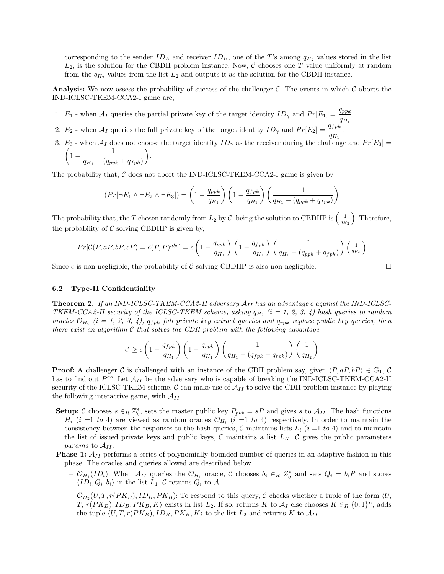corresponding to the sender  $ID_A$  and receiver  $ID_B$ , one of the T's among  $q_{H_2}$  values stored in the list  $L_2$ , is the solution for the CBDH problem instance. Now,  $\mathcal C$  chooses one T value uniformly at random from the  $q_{H_2}$  values from the list  $L_2$  and outputs it as the solution for the CBDH instance.

**Analysis:** We now assess the probability of success of the challenger C. The events in which C aborts the IND-ICLSC-TKEM-CCA2-I game are,

- 1.  $E_1$  when  $A_I$  queries the partial private key of the target identity  $ID_\gamma$  and  $Pr[E_1] = \frac{q_{ppk}}{q_{H_1}}$ .
- 2.  $E_2$  when  $\mathcal{A}_I$  queries the full private key of the target identity  $ID_\gamma$  and  $Pr[E_2] = \frac{q_{fpk}}{q_{H_1}}$ .
- 3.  $E_3$  when  $A_I$  does not choose the target identity  $ID_\gamma$  as the receiver during the challenge and  $Pr[E_3] =$  $\begin{pmatrix} 1 & 1 \end{pmatrix}$ 1 − 1 .

$$
\left(1-\frac{}{q_{H_1}-(q_{ppk}+q_{fpk})}\right)
$$

The probability that,  $\mathcal C$  does not abort the IND-ICLSC-TKEM-CCA2-I game is given by

$$
(Pr[\neg E_1 \land \neg E_2 \land \neg E_3]) = \left(1 - \frac{q_{ppk}}{q_{H_1}}\right) \left(1 - \frac{q_{fpk}}{q_{H_1}}\right) \left(\frac{1}{q_{H_1} - (q_{ppk} + q_{fpk})}\right)
$$

The probability that, the T chosen randomly from  $L_2$  by C, being the solution to CBDHP is  $\left(\frac{1}{q_{H_2}}\right)$  . Therefore, the probability of  $\mathcal C$  solving CBDHP is given by,

$$
Pr[\mathcal{C}(P, aP, bP, cP) = \hat{e}(P, P)^{abc}] = \epsilon \left(1 - \frac{q_{ppk}}{q_{H_1}}\right) \left(1 - \frac{q_{fpk}}{q_{H_1}}\right) \left(\frac{1}{q_{H_1} - (q_{ppk} + q_{fpk})}\right) \left(\frac{1}{q_{H_2}}\right)
$$

Since  $\epsilon$  is non-negligible, the probability of C solving CBDHP is also non-negligible.

#### 6.2 Type-II Confidentiality

**Theorem 2.** If an IND-ICLSC-TKEM-CCA2-II adversary  $A_{II}$  has an advantage  $\epsilon$  against the IND-ICLSC-TKEM-CCA2-II security of the ICLSC-TKEM scheme, asking  $q_{H_i}$  (i = 1, 2, 3, 4) hash queries to random oracles  $\mathcal{O}_{H_i}$  (i = 1, 2, 3, 4),  $q_{fpk}$  full private key extract queries and  $q_{rpk}$  replace public key queries, then there exist an algorithm  $\mathcal C$  that solves the CDH problem with the following advantage

$$
\epsilon' \ge \epsilon \left(1 - \frac{q_{fpk}}{q_{H_1}}\right) \left(1 - \frac{q_{rpk}}{q_{H_1}}\right) \left(\frac{1}{q_{H_1} - (q_{fpk} + q_{rpk})}\right) \left(\frac{1}{q_{H_2}}\right)
$$

**Proof:** A challenger C is challenged with an instance of the CDH problem say, given  $\langle P, aP, bP \rangle \in \mathbb{G}_1$ , C has to find out  $P^{ab}$ . Let  $\mathcal{A}_{II}$  be the adversary who is capable of breaking the IND-ICLSC-TKEM-CCA2-II security of the ICLSC-TKEM scheme.  $\mathcal{C}$  can make use of  $\mathcal{A}_{II}$  to solve the CDH problem instance by playing the following interactive game, with  $A_{II}$ .

- **Setup:** C chooses  $s \in_R \mathbb{Z}_q^*$ , sets the master public key  $P_{pub} = sP$  and gives s to  $\mathcal{A}_{II}$ . The hash functions  $H_i$  (i =1 to 4) are viewed as random oracles  $\mathcal{O}_{H_i}$  (i =1 to 4) respectively. In order to maintain the consistency between the responses to the hash queries,  $C$  maintains lists  $L_i$  ( $i = 1$  to 4) and to maintain the list of issued private keys and public keys,  $\mathcal C$  maintains a list  $L_K$ .  $\mathcal C$  gives the public parameters params to  $A_{II}$ .
- **Phase 1:**  $A_{II}$  performs a series of polynomially bounded number of queries in an adaptive fashion in this phase. The oracles and queries allowed are described below.
	- $\mathcal{O}_{H_1}(ID_i)$ : When  $\mathcal{A}_{II}$  queries the  $\mathcal{O}_{H_1}$  oracle, C chooses  $b_i \in_R Z_q^*$  and sets  $Q_i = b_i P$  and stores  $\langle ID_i, Q_i, b_i \rangle$  in the list  $L_1$ . C returns  $Q_i$  to A.
	- $\mathcal{O}_{H_2}(U, T, r(PK_B), ID_B, PK_B)$ : To respond to this query, C checks whether a tuple of the form  $\langle U, \rangle$  $T, r(PK_B), ID_B, PK_B, K\rangle$  exists in list  $L_2$ . If so, returns K to  $\mathcal{A}_I$  else chooses  $K \in_R \{0,1\}^n$ , adds the tuple  $\langle U, T, r(PK_B), ID_B, PK_B, K \rangle$  to the list  $L_2$  and returns K to  $\mathcal{A}_{II}$ .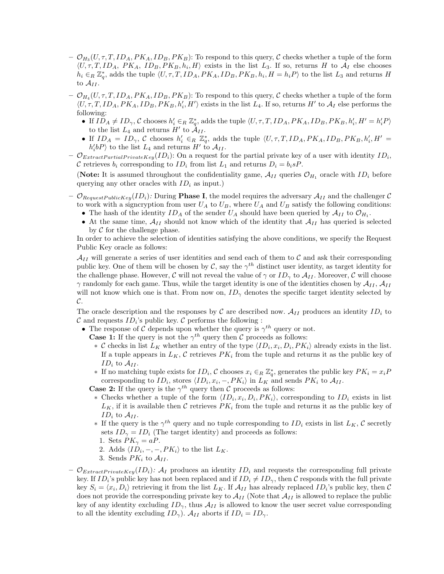- $\mathcal{O}_{H_3}(U, \tau, T, ID_A, PK_A, ID_B, PK_B)$ : To respond to this query,  $\mathcal C$  checks whether a tuple of the form  $\langle U, \tau, T, ID_A, PK_A, ID_B, PK_B, h_i, H \rangle$  exists in the list  $L_3$ . If so, returns H to  $\mathcal{A}_I$  else chooses  $h_i \in_R \mathbb{Z}_q^*$ , adds the tuple  $\langle U, \tau, T, ID_A, PK_A, ID_B, PK_B, h_i, H = h_i P \rangle$  to the list  $L_3$  and returns H to  $\mathcal{A}_{II}$ .
- $\mathcal{O}_{H_4}(U, \tau, T, ID_A, PK_A, ID_B, PK_B)$ : To respond to this query,  $\mathcal C$  checks whether a tuple of the form  $\langle U, \tau, T, ID_A, PK_A, ID_B, PK_B, h'_i, H' \rangle$  exists in the list  $L_4$ . If so, returns  $H'$  to  $\mathcal{A}_I$  else performs the following:
	- If  $ID_A \neq ID_\gamma$ , C chooses  $h'_i \in_R \mathbb{Z}_q^*$ , adds the tuple  $\langle U, \tau, T, ID_A, PK_A, ID_B, PK_B, h'_i, H' = h'_i P \rangle$ to the list  $L_4$  and returns  $H'$  to  $\mathcal{A}_{II}$ .
	- If  $ID_A = ID_\gamma$ , C chooses  $h'_i \in_R \mathbb{Z}_q^*$ , adds the tuple  $\langle U, \tau, T, ID_A, PK_A, ID_B, PK_B, h'_i, H' =$  $h_i'bP$  to the list  $L_4$  and returns  $H'$  to  $A_{II}$ .
- $\mathcal{O}_{ExtractPartialPrivateKey}(ID_i)$ : On a request for the partial private key of a user with identity  $ID_i$ , C retrieves  $b_i$  corresponding to  $ID_i$  from list  $L_1$  and returns  $D_i = b_i sP$ .

(Note: It is assumed throughout the confidentiality game,  $A_{II}$  queries  $\mathcal{O}_{H_1}$  oracle with  $ID_i$  before querying any other oracles with  $ID_i$  as input.)

- $\mathcal{O}_{RequestPublicKey}(ID_i):$  During **Phase I**, the model requires the adversary  $\mathcal{A}_{II}$  and the challenger  $\mathcal{C}$ to work with a signcryption from user  $U_A$  to  $U_B$ , where  $U_A$  and  $U_B$  satisfy the following conditions:
	- The hash of the identity  $ID_A$  of the sender  $U_A$  should have been queried by  $\mathcal{A}_{II}$  to  $\mathcal{O}_{H_1}$ .
	- At the same time,  $\mathcal{A}_{II}$  should not know which of the identity that  $\mathcal{A}_{II}$  has queried is selected by  $\mathcal C$  for the challenge phase.

In order to achieve the selection of identities satisfying the above conditions, we specify the Request Public Key oracle as follows:

 $\mathcal{A}_{II}$  will generate a series of user identities and send each of them to C and ask their corresponding public key. One of them will be chosen by C, say the  $\gamma^{th}$  distinct user identity, as target identity for the challenge phase. However, C will not reveal the value of  $\gamma$  or  $ID_{\gamma}$  to  $\mathcal{A}_{II}$ . Moreover, C will choose  $\gamma$  randomly for each game. Thus, while the target identity is one of the identities chosen by  $\mathcal{A}_{II}$ ,  $\mathcal{A}_{II}$ will not know which one is that. From now on,  $ID_{\gamma}$  denotes the specific target identity selected by  $\mathcal{C}.$ 

The oracle description and the responses by C are described now.  $A_{II}$  produces an identity  $ID_i$  to  $\mathcal C$  and requests  $ID_i$ 's public key.  $\mathcal C$  performs the following :

• The response of C depends upon whether the query is  $\gamma^{th}$  query or not.

**Case 1:** If the query is not the  $\gamma^{th}$  query then C proceeds as follows:

- ∗ C checks in list  $L_K$  whether an entry of the type  $\langle ID_i, x_i, D_i, PK_i \rangle$  already exists in the list. If a tuple appears in  $L_K$ , C retrieves  $PK_i$  from the tuple and returns it as the public key of  $ID_i$  to  $A_{II}$ .
- ∗ If no matching tuple exists for  $ID_i$ ,  $\mathcal C$  chooses  $x_i \in_R \mathbb Z_q^*$ , generates the public key  $PK_i = x_i P$ corresponding to  $ID_i$ , stores  $\langle ID_i, x_i, -, PK_i \rangle$  in  $L_K$  and sends  $PK_i$  to  $\mathcal{A}_{II}$ .

**Case 2:** If the query is the  $\gamma^{th}$  query then C proceeds as follows:

- \* Checks whether a tuple of the form  $\langle ID_i, x_i, D_i, PK_i \rangle$ , corresponding to  $ID_i$  exists in list  $L_K$ , if it is available then C retrieves  $PK_i$  from the tuple and returns it as the public key of  $ID_i$  to  $A_{II}$ .
- <sup>∗</sup> If the query is the γ<sup>th</sup> query and no tuple corresponding to  $ID_i$  exists in list  $L_K$ , C secretly sets  $ID_{\gamma} = ID_i$  (The target identity) and proceeds as follows:
	- 1. Sets  $PK_{\gamma} = aP$ .
	- 2. Adds  $\langle ID_i, -, -, PK_i \rangle$  to the list  $L_K$ .
- 3. Sends  $PK_i$  to  $A_{II}$ .
- $\mathcal{O}_{ExtractPrivateKey}(ID_i):$   $\mathcal{A}_I$  produces an identity  $ID_i$  and requests the corresponding full private key. If  $ID_i$ 's public key has not been replaced and if  $ID_i \neq ID_\gamma$ , then C responds with the full private key  $S_i = \langle x_i, D_i \rangle$  retrieving it from the list  $L_K$ . If  $\mathcal{A}_{II}$  has already replaced  $ID_i$ 's public key, then  $\mathcal{C}$ does not provide the corresponding private key to  $A_{II}$  (Note that  $A_{II}$  is allowed to replace the public key of any identity excluding  $ID_{\gamma}$ , thus  $\mathcal{A}_{II}$  is allowed to know the user secret value corresponding to all the identity excluding  $ID_{\gamma}$ ).  $\mathcal{A}_{II}$  aborts if  $ID_i = ID_{\gamma}$ .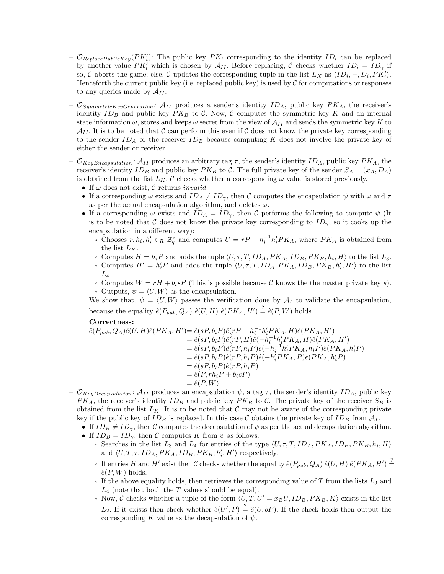- $\mathcal{O}_{ReplacePublicKey}(PK_i')$ : The public key  $PK_i$  corresponding to the identity  $ID_i$  can be replaced by another value  $PK'_i$  which is chosen by  $A_{II}$ . Before replacing, C checks whether  $ID_i = ID_\gamma$  if so, C aborts the game; else, C updates the corresponding tuple in the list  $L_K$  as  $\langle ID_i, -, D_i, PK'_i \rangle$ . Henceforth the current public key (i.e. replaced public key) is used by  $C$  for computations or responses to any queries made by  $A_{II}$ .
- $\mathcal{O}_{SymmetricKeyGeneration}$ :  $\mathcal{A}_{II}$  produces a sender's identity  $ID_A$ , public key  $PK_A$ , the receiver's identity  $ID_B$  and public key  $PK_B$  to C. Now, C computes the symmetric key K and an internal state information  $\omega$ , stores and keeps  $\omega$  secret from the view of  $\mathcal{A}_{II}$  and sends the symmetric key K to  $\mathcal{A}_{II}$ . It is to be noted that C can perform this even if C does not know the private key corresponding to the sender  $ID_A$  or the receiver  $ID_B$  because computing K does not involve the private key of either the sender or receiver.
- $\mathcal{O}_{KeyEncapsulation}$ :  $\mathcal{A}_{II}$  produces an arbitrary tag  $\tau$ , the sender's identity  $ID_A$ , public key  $PK_A$ , the receiver's identity  $ID_B$  and public key  $PK_B$  to C. The full private key of the sender  $S_A = (x_A, D_A)$ is obtained from the list  $L_K$ . C checks whether a corresponding  $\omega$  value is stored previously.
	- If  $\omega$  does not exist,  $\mathcal C$  returns *invalid*.
	- If a corresponding  $\omega$  exists and  $ID_A \neq ID_{\gamma}$ , then C computes the encapsulation  $\psi$  with  $\omega$  and  $\tau$ as per the actual encapsulation algorithm, and deletes  $\omega$ .
	- If a corresponding  $\omega$  exists and  $ID_A = ID_\gamma$ , then C performs the following to compute  $\psi$  (It is to be noted that C does not know the private key corresponding to  $ID_{\gamma}$ , so it cooks up the encapsulation in a different way):
		- ∗ Chooses  $r, h_i, h'_i \in_R \mathcal{Z}_q^*$  and computes  $U = rP h_i^{-1}h'_iPK_A$ , where  $PK_A$  is obtained from the list  $L_K$ .
		- ∗ Computes  $H = h_i P$  and adds the tuple  $\langle U, \tau, T, ID_A, PK_A, ID_B, PK_B, h_i, H \rangle$  to the list  $L_3$ .
		- \* Computes  $H' = h'_iP$  and adds the tuple  $\langle U, \tau, T, ID_A, PK_A, ID_B, PK_B, h'_i, H' \rangle$  to the list  $L_4$ .
		- ∗ Computes W = rH + bisP (This is possible because C knows the the master private key s).
		- ∗ Outputs,  $\psi = \langle U, W \rangle$  as the encapsulation.

We show that,  $\psi = \langle U, W \rangle$  passes the verification done by  $\mathcal{A}_I$  to validate the encapsulation, because the equality  $\hat{e}(P_{pub}, Q_A) \hat{e}(U, H) \hat{e}(PK_A, H') \stackrel{?}{=} \hat{e}(P, W)$  holds.

## Correctness:

$$
\begin{aligned} \hat{e}(P_{pub},Q_A)\hat{e}(U,H)\hat{e}(PK_A,H')&=\hat{e}(sP,b_iP)\hat{e}(rP-h_i^{-1}h_i'PK_A,H)\hat{e}(PK_A,H')\\ &=\hat{e}(sP,b_iP)\hat{e}(rP,H)\hat{e}(-h_i^{-1}h_i'PK_A,H)\hat{e}(PK_A,H')\\ &=\hat{e}(sP,b_iP)\hat{e}(rP,h_iP)\hat{e}(-h_i^{-1}h_i'PK_A,h_iP)\hat{e}(PK_A,h_i'P)\\ &=\hat{e}(sP,b_iP)\hat{e}(rP,h_iP)\hat{e}(-h_i'PK_A,P)\hat{e}(PK_A,h_i'P)\\ &=\hat{e}(sP,b_iP)\hat{e}(rP,h_iP)\\ &=\hat{e}(P,rh_iP+b_i sP)\\ &=\hat{e}(P,W) \end{aligned}
$$

- $\mathcal{O}_{KeyDecapsulation}$ :  $\mathcal{A}_{II}$  produces an encapsulation  $\psi$ , a tag  $\tau$ , the sender's identity  $ID_A$ , public key  $PK_A$ , the receiver's identity  $ID_B$  and public key  $PK_B$  to C. The private key of the receiver  $S_B$  is obtained from the list  $L_K$ . It is to be noted that C may not be aware of the corresponding private key if the public key of  $ID_B$  is replaced. In this case C obtains the private key of  $ID_B$  from  $A_I$ .
	- If  $ID_B \neq ID_{\gamma}$ , then C computes the decapsulation of  $\psi$  as per the actual decapsulation algorithm.
	- If  $ID_B = ID_{\gamma}$ , then C computes K from  $\psi$  as follows:
		- \* Searches in the list  $L_3$  and  $L_4$  for entries of the type  $\langle U, \tau, T, ID_A, PK_A, ID_B, PK_B, h_i, H \rangle$ and  $\langle U, T, \tau, ID_A, PK_A, ID_B, PK_B, h'_i, H' \rangle$  respectively.
		- ∗ If entries H and H' exist then C checks whether the equality  $\hat{e}(P_{pub}, Q_A) \hat{e}(U, H) \hat{e}(PK_A, H') \stackrel{?}{=}$  $\hat{e}(P, W)$  holds.
		- $*$  If the above equality holds, then retrieves the corresponding value of T from the lists  $L_3$  and  $L_4$  (note that both the T values should be equal).
		- ∗ Now, C checks whether a tuple of the form  $\langle U, T, U' = x_B U, ID_B, PK_B, K \rangle$  exists in the list  $L_2$ . If it exists then check whether  $\hat{e}(U', P) \stackrel{?}{=} \hat{e}(U, bP)$ . If the check holds then output the corresponding K value as the decapsulation of  $\psi$ .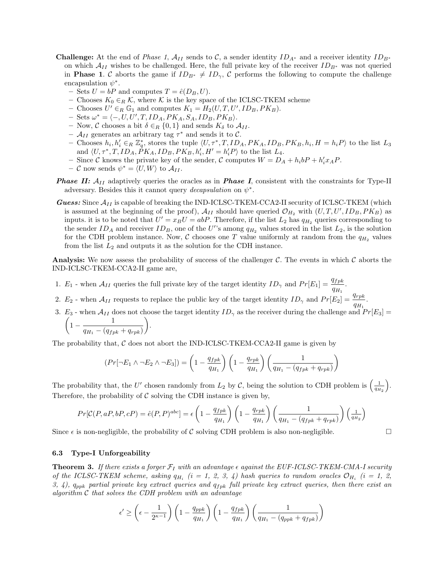- **Challenge:** At the end of *Phase 1,*  $\mathcal{A}_{II}$  sends to C, a sender identity  $ID_{A^*}$  and a receiver identity  $ID_{B^*}$ on which  $\mathcal{A}_{II}$  wishes to be challenged. Here, the full private key of the receiver  $ID_{B^*}$  was not queried in **Phase 1.** C aborts the game if  $ID_{B^*} \neq ID_{\gamma}$ , C performs the following to compute the challenge encapsulation  $\psi^*$ .
	- Sets  $U = bP$  and computes  $T = \hat{e}(D_B, U)$ .
	- Chooses  $K_0 \in_R \mathcal{K}$ , where  $\mathcal K$  is the key space of the ICLSC-TKEM scheme
	- Chooses  $U' \in_R \mathbb{G}_1$  and computes  $K_1 = H_2(U, T, U', ID_B, PK_B)$ .
	- $-$  Sets  $\omega^* = \langle -, U, U', T, ID_A, PK_A, S_A, ID_B, PK_B \rangle.$
	- Now, C chooses a bit  $\delta \in_R \{0,1\}$  and sends  $K_{\delta}$  to  $\mathcal{A}_{II}$ .
	- $\mathcal{A}_{II}$  generates an arbitrary tag  $\tau^*$  and sends it to  $\mathcal{C}$ .
	- Chooses  $h_i, h'_i \in_R \mathbb{Z}_q^*$ , stores the tuple  $\langle U, \tau^*, T, ID_A, PK_A, ID_B, PK_B, h_i, H = h_i P \rangle$  to the list  $L_3$ and  $\langle U, \tau^*, T, ID_A, \dot{P}K_A, ID_B, PK_B, h'_i, H' = h'_i P \rangle$  to the list  $L_4$ .
	- Since C knows the private key of the sender, C computes  $W = D_A + h_i bP + h'_i x_A P$ .
	- $-$  C now sends  $\psi^* = \langle U, W \rangle$  to  $\mathcal{A}_{II}$ .
- **Phase II:**  $A_{II}$  adaptively queries the oracles as in **Phase I**, consistent with the constraints for Type-II adversary. Besides this it cannot query *decapsulation* on  $\psi^*$ .
- **Guess:** Since  $\mathcal{A}_{II}$  is capable of breaking the IND-ICLSC-TKEM-CCA2-II security of ICLSC-TKEM (which is assumed at the beginning of the proof),  $A_{II}$  should have queried  $\mathcal{O}_{H_2}$  with  $(U, T, U', ID_B, PK_B)$  as inputs. it is to be noted that  $U' = x_B U = abP$ . Therefore, if the list  $L_2$  has  $q_{H_2}$  queries corresponding to the sender  $ID_A$  and receiver  $ID_B$ , one of the U''s among  $q_{H_2}$  values stored in the list  $L_2$ , is the solution for the CDH problem instance. Now, C chooses one T value uniformly at random from the  $q_{H_2}$  values from the list  $L_2$  and outputs it as the solution for the CDH instance.

**Analysis:** We now assess the probability of success of the challenger  $\mathcal{C}$ . The events in which  $\mathcal{C}$  aborts the IND-ICLSC-TKEM-CCA2-II game are,

- 1.  $E_1$  when  $A_{II}$  queries the full private key of the target identity  $ID_{\gamma}$  and  $Pr[E_1] = \frac{q_{fpk}}{q_{H_1}}$ .
- 2.  $E_2$  when  $A_{II}$  requests to replace the public key of the target identity  $ID_{\gamma}$  and  $Pr[E_2] = \frac{q_{rpk}}{q_{H_1}}$ .
- 3.  $E_3$  when  $\mathcal{A}_{II}$  does not choose the target identity  $ID_\gamma$  as the receiver during the challenge and  $Pr[E_3] =$

$$
\left(1-\frac{1}{q_{H_1}-(q_{fpk}+q_{rpk})}\right).
$$

The probability that,  $C$  does not abort the IND-ICLSC-TKEM-CCA2-II game is given by

$$
(Pr[\neg E_1 \land \neg E_2 \land \neg E_3]) = \left(1 - \frac{q_{fpk}}{q_{H_1}}\right) \left(1 - \frac{q_{rpk}}{q_{H_1}}\right) \left(\frac{1}{q_{H_1} - (q_{fpk} + q_{rpk})}\right)
$$

The probability that, the U' chosen randomly from  $L_2$  by C, being the solution to CDH problem is  $\left(\frac{1}{q_{H_2}}\right)$  . Therefore, the probability of  $\mathcal C$  solving the CDH instance is given by,

$$
Pr[\mathcal{C}(P, aP, bP, cP) = \hat{e}(P, P)^{abc}] = \epsilon \left(1 - \frac{q_{fpk}}{q_{H_1}}\right) \left(1 - \frac{q_{rpk}}{q_{H_1}}\right) \left(\frac{1}{q_{H_1} - (q_{fpk} + q_{rpk})}\right) \left(\frac{1}{q_{H_2}}\right)
$$

Since  $\epsilon$  is non-negligible, the probability of C solving CDH problem is also non-negligible.

#### 6.3 Type-I Unforgeability

**Theorem 3.** If there exists a forger  $\mathcal{F}_I$  with an advantage  $\epsilon$  against the EUF-ICLSC-TKEM-CMA-I security of the ICLSC-TKEM scheme, asking  $q_{H_i}$  (i = 1, 2, 3, 4) hash queries to random oracles  $\mathcal{O}_{H_i}$  (i = 1, 2, 3, 4),  $q_{ppk}$  partial private key extract queries and  $q_{fpk}$  full private key extract queries, then there exist an algorithm  $C$  that solves the CDH problem with an advantage

$$
\epsilon' \ge \left(\epsilon - \frac{1}{2^{\kappa - 1}}\right) \left(1 - \frac{q_{ppk}}{q_{H_1}}\right) \left(1 - \frac{q_{fpk}}{q_{H_1}}\right) \left(\frac{1}{q_{H_1} - (q_{ppk} + q_{fpk})}\right)
$$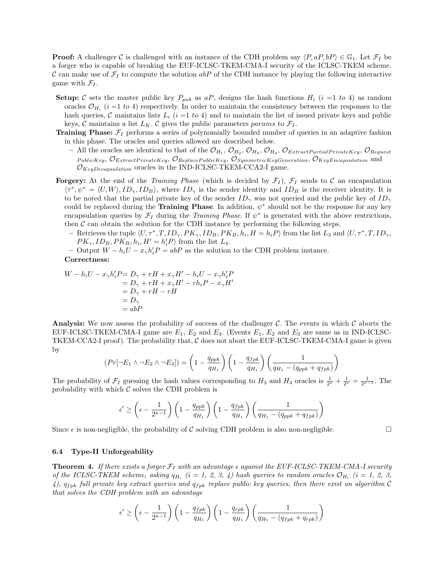**Proof:** A challenger C is challenged with an instance of the CDH problem say  $\langle P, aP, bP \rangle \in \mathbb{G}_1$ . Let  $\mathcal{F}_I$  be a forger who is capable of breaking the EUF-ICLSC-TKEM-CMA-I security of the ICLSC-TKEM scheme. C can make use of  $\mathcal{F}_I$  to compute the solution abP of the CDH instance by playing the following interactive game with  $\mathcal{F}_I$ .

- **Setup:** C sets the master public key  $P_{pub}$  as aP, designs the hash functions  $H_i$  (i =1 to 4) as random oracles  $\mathcal{O}_{H_i}$  (*i* =1 to 4) respectively. In order to maintain the consistency between the responses to the hash queries, C maintains lists  $L_i$  (i =1 to 4) and to maintain the list of issued private keys and public keys, C maintains a list  $L_K$ . C gives the public parameters params to  $\mathcal{F}_I$ .
- **Training Phase:**  $\mathcal{F}_I$  performs a series of polynomially bounded number of queries in an adaptive fashion in this phase. The oracles and queries allowed are described below.
	- All the oracles are identical to that of the  $\mathcal{O}_{H_1}, \mathcal{O}_{H_2}, \mathcal{O}_{H_3}, \mathcal{O}_{H_4}, \mathcal{O}_{ExtractPartialPrivateKey}, \mathcal{O}_{Request}$  $PubicKey, O_{ExtractPrivateKey}, O_{ReplacePublicKey}, O_{SymmetricKeyGeneration}, O_{KeyEncapsulation}$  and  $\mathcal{O}_{KeyDecapsulation}$  oracles in the IND-ICLSC-TKEM-CCA2-I game.
- **Forgery:** At the end of the *Training Phase* (which is decided by  $\mathcal{F}_I$ ),  $\mathcal{F}_I$  sends to C an encapsulation  $\langle \tau^*, \psi^* = \langle U, W \rangle$ ,  $ID_{\gamma}, ID_B \rangle$ , where  $ID_{\gamma}$  is the sender identity and  $ID_B$  is the receiver identity. It is to be noted that the partial private key of the sender  $ID_{\gamma}$  was not queried and the public key of  $ID_{\gamma}$ could be replaced during the **Training Phase**. In addition,  $\psi^*$  should not be the response for any key encapsulation queries by  $\mathcal{F}_I$  during the *Training Phase*. If  $\psi^*$  is generated with the above restrictions, then  $\mathcal C$  can obtain the solution for the CDH instance by performing the following steps.
	- Retrieves the tuple  $\langle U, \tau^*, T, ID_{\gamma}, PK_{\gamma}, ID_B, PK_B, h_i, H = h_i P \rangle$  from the list  $L_3$  and  $\langle U, \tau^*, T, ID_{\gamma}, H \rangle$  $PK_{\gamma}, ID_B, PK_B, h_i, H' = h'_iP$  from the list  $L_4$ .
	- − Output  $W h_i U x_\gamma h'_i P = abP$  as the solution to the CDH problem instance. Correctness:

$$
W - h_i U - x_\gamma h'_i P = D_\gamma + rH + x_\gamma H' - h_i U - x_\gamma h'_i P
$$
  
=  $D_\gamma + rH + x_\gamma H' - rh_i P - x_\gamma H'$   
=  $D_\gamma + rH - rH$   
=  $D_\gamma$   
= abP

**Analysis:** We now assess the probability of success of the challenger  $\mathcal{C}$ . The events in which  $\mathcal{C}$  aborts the EUF-ICLSC-TKEM-CMA-I game are  $E_1, E_2$  and  $E_3$ . (Events  $E_1, E_2$  and  $E_3$  are same as in IND-ICLSC-TKEM-CCA2-I proof). The probability that,  $C$  does not abort the EUF-ICLSC-TKEM-CMA-I game is given by

$$
(Pr[\neg E_1 \land \neg E_2 \land \neg E_3]) = \left(1 - \frac{q_{ppk}}{q_{H_1}}\right) \left(1 - \frac{q_{fpk}}{q_{H_1}}\right) \left(\frac{1}{q_{H_1} - (q_{ppk} + q_{fpk})}\right)
$$

The probability of  $\mathcal{F}_I$  guessing the hash values corresponding to  $H_3$  and  $H_4$  oracles is  $\frac{1}{2^{\kappa}} + \frac{1}{2^{\kappa}} = \frac{1}{2^{\kappa-1}}$ . The probability with which  $\mathcal C$  solves the CDH problem is

$$
\epsilon' \ge \left(\epsilon - \frac{1}{2^{\kappa - 1}}\right) \left(1 - \frac{q_{ppk}}{q_{H_1}}\right) \left(1 - \frac{q_{fpk}}{q_{H_1}}\right) \left(\frac{1}{q_{H_1} - (q_{ppk} + q_{fpk})}\right)
$$

Since  $\epsilon$  is non-negligible, the probability of C solving CDH problem is also non-negligible.

#### 6.4 Type-II Unforgeability

**Theorem 4.** If there exists a forger  $\mathcal{F}_I$  with an advantage  $\epsilon$  against the EUF-ICLSC-TKEM-CMA-I security of the ICLSC-TKEM scheme, asking  $q_{H_i}$  (i = 1, 2, 3, 4) hash queries to random oracles  $\mathcal{O}_{H_i}$  (i = 1, 2, 3, 4),  $q_{fpk}$  full private key extract queries and  $q_{fpk}$  replace public key queries, then there exist an algorithm C that solves the CDH problem with an advantage

$$
\epsilon' \ge \left(\epsilon - \frac{1}{2^{\kappa - 1}}\right) \left(1 - \frac{q_{fpk}}{q_{H_1}}\right) \left(1 - \frac{q_{rpk}}{q_{H_1}}\right) \left(\frac{1}{q_{H_1} - (q_{fpk} + q_{rpk})}\right)
$$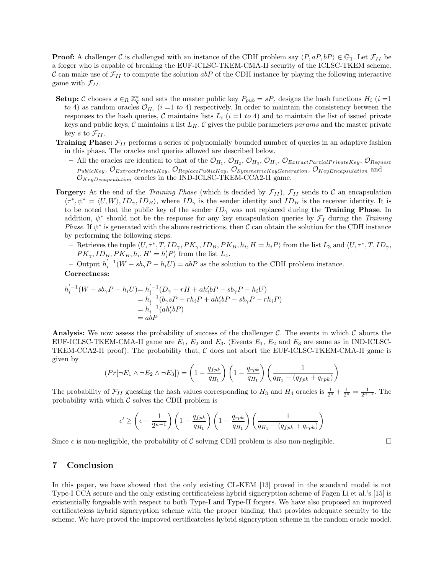**Proof:** A challenger C is challenged with an instance of the CDH problem say  $\langle P, aP, bP \rangle \in \mathbb{G}_1$ . Let  $\mathcal{F}_{II}$  be a forger who is capable of breaking the EUF-ICLSC-TKEM-CMA-II security of the ICLSC-TKEM scheme. C can make use of  $\mathcal{F}_{II}$  to compute the solution abP of the CDH instance by playing the following interactive game with  $\mathcal{F}_{II}$ .

- **Setup:** C chooses  $s \in_R \mathbb{Z}_q^*$  and sets the master public key  $P_{pub} = sP$ , designs the hash functions  $H_i$  (i =1) to 4) as random oracles  $\mathcal{O}_{H_i}$  (i =1 to 4) respectively. In order to maintain the consistency between the responses to the hash queries, C maintains lists  $L_i$  (i =1 to 4) and to maintain the list of issued private keys and public keys,  $C$  maintains a list  $L_K$ . C gives the public parameters params and the master private key s to  $\mathcal{F}_{II}$ .
- **Training Phase:**  $\mathcal{F}_{II}$  performs a series of polynomially bounded number of queries in an adaptive fashion in this phase. The oracles and queries allowed are described below.
	- All the oracles are identical to that of the  $\mathcal{O}_{H_1}, \mathcal{O}_{H_2}, \mathcal{O}_{H_3}, \mathcal{O}_{H_4}, \mathcal{O}_{ExtractPartialPrivateKey}, \mathcal{O}_{Request}$  $\mathit{PublicKey}, \mathit{U}_{ExtractPrivateKey}, \mathit{O}_{ReplacePublicKey}, \mathit{O}_{SymmetricKeyGeneration}, \mathit{O}_{KeyEncapsulation}$  and  $\mathcal{O}_{KeyDecapsulation}$  oracles in the IND-ICLSC-TKEM-CCA2-II game.
- **Forgery:** At the end of the *Training Phase* (which is decided by  $\mathcal{F}_{II}$ ),  $\mathcal{F}_{II}$  sends to C an encapsulation  $\langle \tau^*, \psi^* = \langle U, W \rangle$ ,  $ID_{\gamma}, ID_B \rangle$ , where  $ID_{\gamma}$  is the sender identity and  $ID_B$  is the receiver identity. It is to be noted that the public key of the sender  $ID_{\gamma}$  was not replaced during the **Training Phase**. In addition,  $\psi^*$  should not be the response for any key encapsulation queries by  $\mathcal{F}_I$  during the Training Phase. If  $\psi^*$  is generated with the above restrictions, then C can obtain the solution for the CDH instance by performing the following steps.
	- Retrieves the tuple  $\langle U, \tau^*, T, ID_{\gamma}, PK_{\gamma}, ID_B, PK_B, h_i, H = h_i P \rangle$  from the list  $L_3$  and  $\langle U, \tau^*, T, ID_{\gamma}, H \rangle$  $PK_{\gamma}, ID_B, PK_B, h_i, H' = h'_i P$  from the list  $L_4$ .
	- $-$  Output  $h_i^{'-1}(W sb_\gamma P h_i U) = abP$  as the solution to the CDH problem instance. Correctness:

$$
h_i^{'-1}(W - sb_{\gamma}P - h_iU) = h_i^{'-1}(D_{\gamma} + rH + ah_i'bP - sb_{\gamma}P - h_iU)
$$
  
=  $h_i^{'-1}(b_{\gamma}sP + rh_iP + ah_i'bP - sb_{\gamma}P - rh_iP)$   
=  $h_i^{-1}(ah_i'bP)$   
= abP

**Analysis:** We now assess the probability of success of the challenger  $\mathcal{C}$ . The events in which  $\mathcal{C}$  aborts the EUF-ICLSC-TKEM-CMA-II game are  $E_1$ ,  $E_2$  and  $E_3$ . (Events  $E_1$ ,  $E_2$  and  $E_3$  are same as in IND-ICLSC-TKEM-CCA2-II proof). The probability that,  $C$  does not abort the EUF-ICLSC-TKEM-CMA-II game is given by

$$
(Pr[\neg E_1 \land \neg E_2 \land \neg E_3]) = \left(1 - \frac{q_{fpk}}{q_{H_1}}\right) \left(1 - \frac{q_{rpk}}{q_{H_1}}\right) \left(\frac{1}{q_{H_1} - (q_{fpk} + q_{rpk})}\right)
$$

The probability of  $\mathcal{F}_{II}$  guessing the hash values corresponding to  $H_3$  and  $H_4$  oracles is  $\frac{1}{2\kappa} + \frac{1}{2\kappa} = \frac{1}{2\kappa - 1}$ . The probability with which  $\mathcal C$  solves the CDH problem is

$$
\epsilon' \ge \left(\epsilon - \frac{1}{2^{\kappa - 1}}\right) \left(1 - \frac{q_{fpk}}{q_{H_1}}\right) \left(1 - \frac{q_{rpk}}{q_{H_1}}\right) \left(\frac{1}{q_{H_1} - (q_{fpk} + q_{rpk})}\right)
$$

Since  $\epsilon$  is non-negligible, the probability of C solving CDH problem is also non-negligible.

# 7 Conclusion

In this paper, we have showed that the only existing CL-KEM [13] proved in the standard model is not Type-I CCA secure and the only existing certificateless hybrid signcryption scheme of Fagen Li et al.'s [15] is existentially forgeable with respect to both Type-I and Type-II forgers. We have also proposed an improved certificateless hybrid signcryption scheme with the proper binding, that provides adequate security to the scheme. We have proved the improved certificateless hybrid signcryption scheme in the random oracle model.